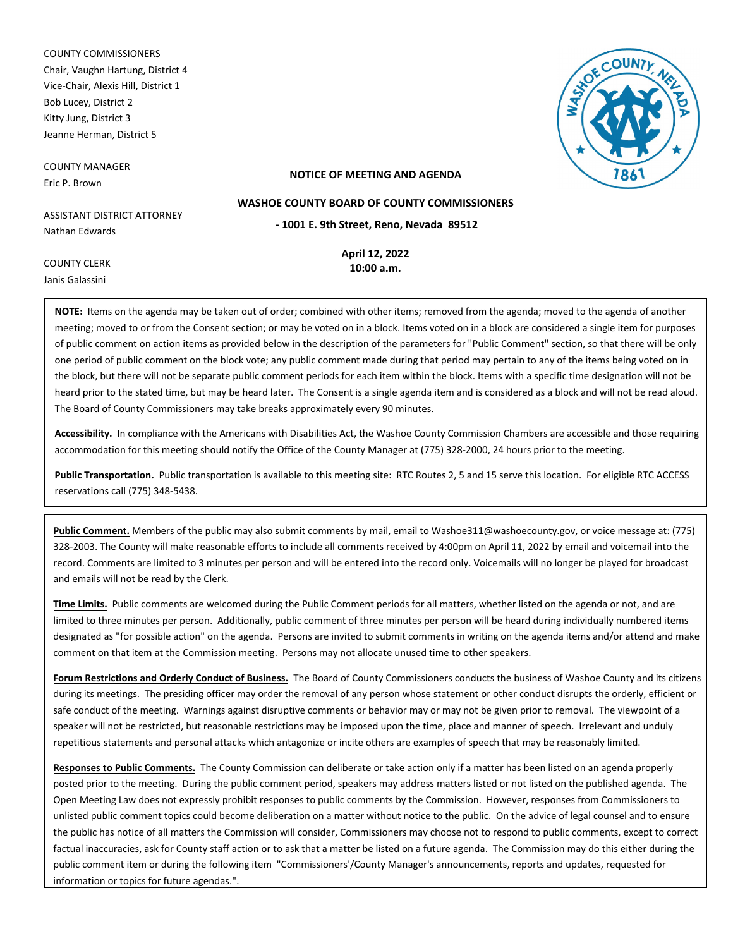COUNTY COMMISSIONERS Chair, Vaughn Hartung, District 4 Vice-Chair, Alexis Hill, District 1 Bob Lucey, District 2 Kitty Jung, District 3 Jeanne Herman, District 5

COUNTY MANAGER Eric P. Brown



#### **NOTICE OF MEETING AND AGENDA**

ASSISTANT DISTRICT ATTORNEY Nathan Edwards

**April 12, 2022**

**- 1001 E. 9th Street, Reno, Nevada 89512 WASHOE COUNTY BOARD OF COUNTY COMMISSIONERS**

COUNTY CLERK Janis Galassini

**10:00 a.m.**

**NOTE:** Items on the agenda may be taken out of order; combined with other items; removed from the agenda; moved to the agenda of another meeting; moved to or from the Consent section; or may be voted on in a block. Items voted on in a block are considered a single item for purposes of public comment on action items as provided below in the description of the parameters for "Public Comment" section, so that there will be only one period of public comment on the block vote; any public comment made during that period may pertain to any of the items being voted on in the block, but there will not be separate public comment periods for each item within the block. Items with a specific time designation will not be heard prior to the stated time, but may be heard later. The Consent is a single agenda item and is considered as a block and will not be read aloud. The Board of County Commissioners may take breaks approximately every 90 minutes.

**Accessibility.** In compliance with the Americans with Disabilities Act, the Washoe County Commission Chambers are accessible and those requiring accommodation for this meeting should notify the Office of the County Manager at (775) 328-2000, 24 hours prior to the meeting.

**Public Transportation.** Public transportation is available to this meeting site: RTC Routes 2, 5 and 15 serve this location. For eligible RTC ACCESS reservations call (775) 348-5438.

**Public Comment.** Members of the public may also submit comments by mail, email to Washoe311@washoecounty.gov, or voice message at: (775) 328-2003. The County will make reasonable efforts to include all comments received by 4:00pm on April 11, 2022 by email and voicemail into the record. Comments are limited to 3 minutes per person and will be entered into the record only. Voicemails will no longer be played for broadcast and emails will not be read by the Clerk.

**Time Limits.** Public comments are welcomed during the Public Comment periods for all matters, whether listed on the agenda or not, and are limited to three minutes per person. Additionally, public comment of three minutes per person will be heard during individually numbered items designated as "for possible action" on the agenda. Persons are invited to submit comments in writing on the agenda items and/or attend and make comment on that item at the Commission meeting. Persons may not allocate unused time to other speakers.

**Forum Restrictions and Orderly Conduct of Business.** The Board of County Commissioners conducts the business of Washoe County and its citizens during its meetings. The presiding officer may order the removal of any person whose statement or other conduct disrupts the orderly, efficient or safe conduct of the meeting. Warnings against disruptive comments or behavior may or may not be given prior to removal. The viewpoint of a speaker will not be restricted, but reasonable restrictions may be imposed upon the time, place and manner of speech. Irrelevant and unduly repetitious statements and personal attacks which antagonize or incite others are examples of speech that may be reasonably limited.

**Responses to Public Comments.** The County Commission can deliberate or take action only if a matter has been listed on an agenda properly posted prior to the meeting. During the public comment period, speakers may address matters listed or not listed on the published agenda. The Open Meeting Law does not expressly prohibit responses to public comments by the Commission. However, responses from Commissioners to unlisted public comment topics could become deliberation on a matter without notice to the public. On the advice of legal counsel and to ensure the public has notice of all matters the Commission will consider, Commissioners may choose not to respond to public comments, except to correct factual inaccuracies, ask for County staff action or to ask that a matter be listed on a future agenda. The Commission may do this either during the public comment item or during the following item "Commissioners'/County Manager's announcements, reports and updates, requested for information or topics for future agendas.".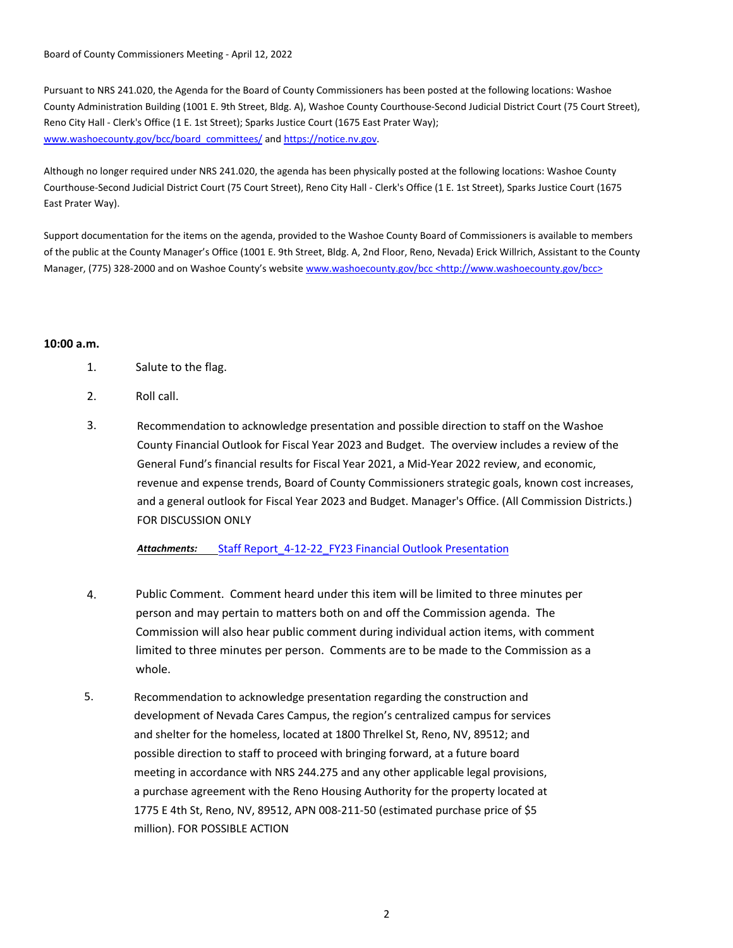Board of County Commissioners Meeting - April 12, 2022

Pursuant to NRS 241.020, the Agenda for the Board of County Commissioners has been posted at the following locations: Washoe County Administration Building (1001 E. 9th Street, Bldg. A), Washoe County Courthouse-Second Judicial District Court (75 Court Street), Reno City Hall - Clerk's Office (1 E. 1st Street); Sparks Justice Court (1675 East Prater Way); www.washoecounty.gov/bcc/board\_committees/ and https://notice.nv.gov.

Although no longer required under NRS 241.020, the agenda has been physically posted at the following locations: Washoe County Courthouse-Second Judicial District Court (75 Court Street), Reno City Hall - Clerk's Office (1 E. 1st Street), Sparks Justice Court (1675 East Prater Way).

Support documentation for the items on the agenda, provided to the Washoe County Board of Commissioners is available to members of the public at the County Manager's Office (1001 E. 9th Street, Bldg. A, 2nd Floor, Reno, Nevada) Erick Willrich, Assistant to the County Manager, (775) 328-2000 and on Washoe County's website www.washoecounty.gov/bcc <http://www.washoecounty.gov/bcc>

### **10:00 a.m.**

- 1. Salute to the flag.
- 2. Roll call.
- 3. Recommendation to acknowledge presentation and possible direction to staff on the Washoe County Financial Outlook for Fiscal Year 2023 and Budget. The overview includes a review of the General Fund's financial results for Fiscal Year 2021, a Mid-Year 2022 review, and economic, revenue and expense trends, Board of County Commissioners strategic goals, known cost increases, and a general outlook for Fiscal Year 2023 and Budget. Manager's Office. (All Commission Districts.) FOR DISCUSSION ONLY

*Attachments:* Staff Rep[ort\\_4-12-22\\_FY23 Financial Outlook Presentation](http://washoe-nv.legistar.com/gateway.aspx?M=F&ID=ea4d7886-c7e4-40ef-8351-51dbb3ecfe1f.docx)

- 4. Public Comment. Comment heard under this item will be limited to three minutes per person and may pertain to matters both on and off the Commission agenda. The Commission will also hear public comment during individual action items, with comment limited to three minutes per person. Comments are to be made to the Commission as a whole.
- Recommendation to acknowledge presentation regarding the construction and development of Nevada Cares Campus, the region's centralized campus for services and shelter for the homeless, located at 1800 Threlkel St, Reno, NV, 89512; and possible direction to staff to proceed with bringing forward, at a future board meeting in accordance with NRS 244.275 and any other applicable legal provisions, a purchase agreement with the Reno Housing Authority for the property located at 1775 E 4th St, Reno, NV, 89512, APN 008-211-50 (estimated purchase price of \$5 million). FOR POSSIBLE ACTION 5.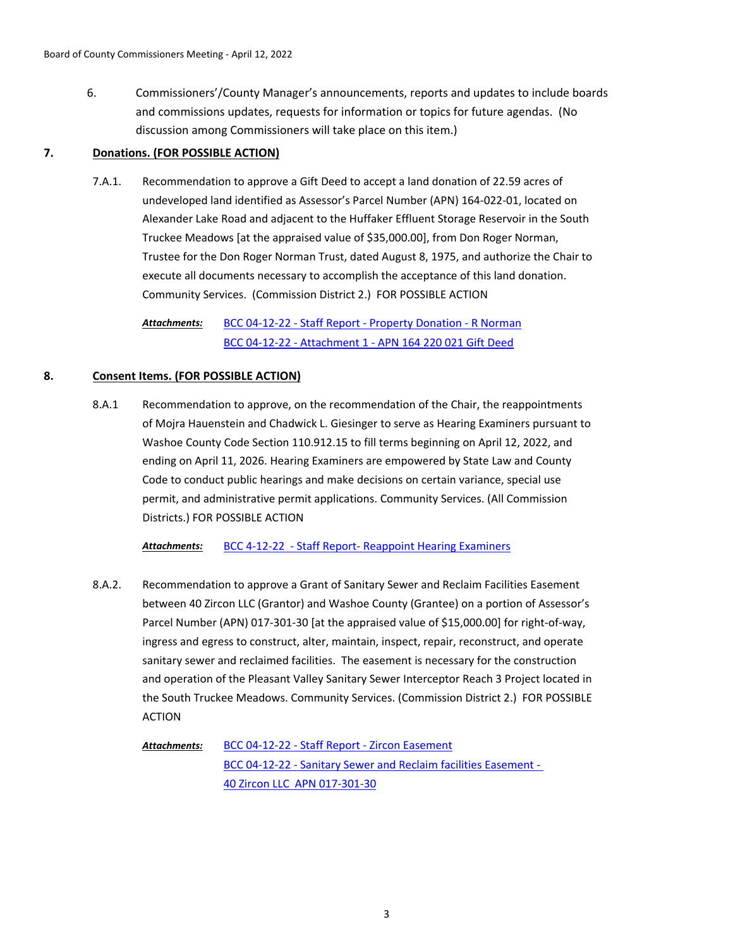6. Commissioners'/County Manager's announcements, reports and updates to include boards and commissions updates, requests for information or topics for future agendas. (No discussion among Commissioners will take place on this item.)

### **7. Donations. (FOR POSSIBLE ACTION)**

Recommendation to approve a Gift Deed to accept a land donation of 22.59 acres of undeveloped land identified as Assessor's Parcel Number (APN) 164-022-01, located on Alexander Lake Road and adjacent to the Huffaker Effluent Storage Reservoir in the South Truckee Meadows [at the appraised value of \$35,000.00], from Don Roger Norman, Trustee for the Don Roger Norman Trust, dated August 8, 1975, and authorize the Chair to execute all documents necessary to accomplish the acceptance of this land donation. Community Services. (Commission District 2.) FOR POSSIBLE ACTION 7.A.1.

[BCC 04-12-22 - Staff Report - Property Donation - R Norman](http://washoe-nv.legistar.com/gateway.aspx?M=F&ID=d7dca06e-883d-4012-b594-69d0a076129c.doc) [BCC 04-12-22 - Attachment 1 - APN 164 220 021 Gift Deed](http://washoe-nv.legistar.com/gateway.aspx?M=F&ID=5fade688-dd98-4972-be69-ada1163eed2e.pdf) *Attachments:*

# **8. Consent Items. (FOR POSSIBLE ACTION)**

Recommendation to approve, on the recommendation of the Chair, the reappointments of Mojra Hauenstein and Chadwick L. Giesinger to serve as Hearing Examiners pursuant to Washoe County Code Section 110.912.15 to fill terms beginning on April 12, 2022, and ending on April 11, 2026. Hearing Examiners are empowered by State Law and County Code to conduct public hearings and make decisions on certain variance, special use permit, and administrative permit applications. Community Services. (All Commission Districts.) FOR POSSIBLE ACTION 8.A.1

*Attachments:* [BCC 4-12-22 - Staff Report- Reappoint Hearing Examiners](http://washoe-nv.legistar.com/gateway.aspx?M=F&ID=ffb4a337-a7ac-4f15-86fc-1f32fddd55aa.doc)

- Recommendation to approve a Grant of Sanitary Sewer and Reclaim Facilities Easement between 40 Zircon LLC (Grantor) and Washoe County (Grantee) on a portion of Assessor's Parcel Number (APN) 017-301-30 [at the appraised value of \$15,000.00] for right-of-way, ingress and egress to construct, alter, maintain, inspect, repair, reconstruct, and operate sanitary sewer and reclaimed facilities. The easement is necessary for the construction and operation of the Pleasant Valley Sanitary Sewer Interceptor Reach 3 Project located in the South Truckee Meadows. Community Services. (Commission District 2.) FOR POSSIBLE ACTION 8.A.2.
	- [BCC 04-12-22 Staff Report Zircon Easement](http://washoe-nv.legistar.com/gateway.aspx?M=F&ID=2a3e04e1-357f-4e5b-9366-d7bc10b814e6.docx) [BCC 04-12-22 - Sanitary Sewer and Reclaim facilities Easement -](http://washoe-nv.legistar.com/gateway.aspx?M=F&ID=efd27ae7-0e0d-41e5-ab9c-205f7f5131a5.pdf)  40 Zircon LLC APN 017-301-30 *Attachments:*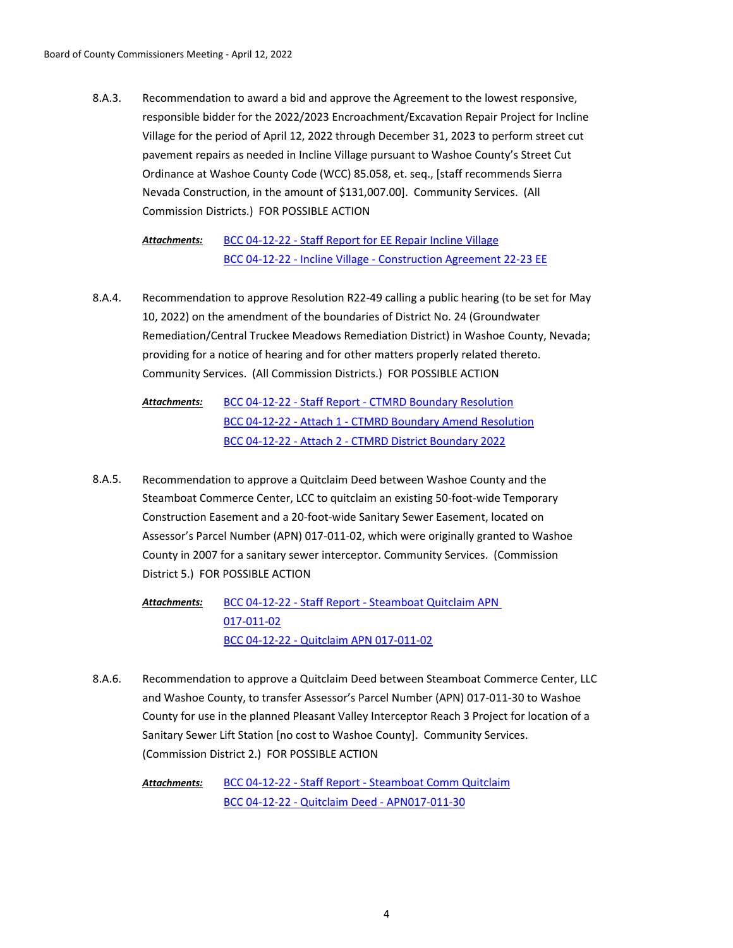Recommendation to award a bid and approve the Agreement to the lowest responsive, responsible bidder for the 2022/2023 Encroachment/Excavation Repair Project for Incline Village for the period of April 12, 2022 through December 31, 2023 to perform street cut pavement repairs as needed in Incline Village pursuant to Washoe County's Street Cut Ordinance at Washoe County Code (WCC) 85.058, et. seq., [staff recommends Sierra Nevada Construction, in the amount of \$131,007.00]. Community Services. (All Commission Districts.) FOR POSSIBLE ACTION 8.A.3.

[BCC 04-12-22 - Staff Report for EE Repair Incline Village](http://washoe-nv.legistar.com/gateway.aspx?M=F&ID=96a8a3a9-7cd3-49b5-81c2-b221ab0d6ea5.doc) [BCC 04-12-22 - Incline Village - Construction Agreement 22-23 EE](http://washoe-nv.legistar.com/gateway.aspx?M=F&ID=84d54195-7549-4b2f-add5-30c30b140412.pdf) *Attachments:*

Recommendation to approve Resolution R22-49 calling a public hearing (to be set for May 10, 2022) on the amendment of the boundaries of District No. 24 (Groundwater Remediation/Central Truckee Meadows Remediation District) in Washoe County, Nevada; providing for a notice of hearing and for other matters properly related thereto. Community Services. (All Commission Districts.) FOR POSSIBLE ACTION 8.A.4.

[BCC 04-12-22 - Staff Report - CTMRD Boundary Resolution](http://washoe-nv.legistar.com/gateway.aspx?M=F&ID=cea6191b-2942-4930-8f79-b49c4ce6f2df.docx) [BCC 04-12-22 - Attach 1 - CTMRD Boundary Amend Resolution](http://washoe-nv.legistar.com/gateway.aspx?M=F&ID=9614177c-3d73-48bf-8d97-42632393d043.docx) [BCC 04-12-22 - Attach 2 - CTMRD District Boundary 2022](http://washoe-nv.legistar.com/gateway.aspx?M=F&ID=ba171ef4-7476-4345-a814-4fd4093de2cf.pdf) *Attachments:*

Recommendation to approve a Quitclaim Deed between Washoe County and the Steamboat Commerce Center, LCC to quitclaim an existing 50-foot-wide Temporary Construction Easement and a 20-foot-wide Sanitary Sewer Easement, located on Assessor's Parcel Number (APN) 017-011-02, which were originally granted to Washoe County in 2007 for a sanitary sewer interceptor. Community Services. (Commission District 5.) FOR POSSIBLE ACTION 8.A.5.

> [BCC 04-12-22 - Staff Report - Steamboat Quitclaim APN](http://washoe-nv.legistar.com/gateway.aspx?M=F&ID=ef663ba6-93f9-4ecc-9cd7-01e8466d7bdc.doc)  017-011-02 [BCC 04-12-22 - Quitclaim APN 017-011-02](http://washoe-nv.legistar.com/gateway.aspx?M=F&ID=a9898ea0-6e41-4863-b5fa-ba7af2251509.pdf) *Attachments:*

Recommendation to approve a Quitclaim Deed between Steamboat Commerce Center, LLC and Washoe County, to transfer Assessor's Parcel Number (APN) 017-011-30 to Washoe County for use in the planned Pleasant Valley Interceptor Reach 3 Project for location of a Sanitary Sewer Lift Station [no cost to Washoe County]. Community Services. (Commission District 2.) FOR POSSIBLE ACTION 8.A.6.

[BCC 04-12-22 - Staff Report - Steamboat Comm Quitclaim](http://washoe-nv.legistar.com/gateway.aspx?M=F&ID=c794cb11-77b8-4ef9-96ac-7bffddeb4bcd.doc) [BCC 04-12-22 - Quitclaim Deed - APN017-011-30](http://washoe-nv.legistar.com/gateway.aspx?M=F&ID=710cdf3a-e3a6-4ab2-9eb8-6194ef3d5e44.docx) *Attachments:*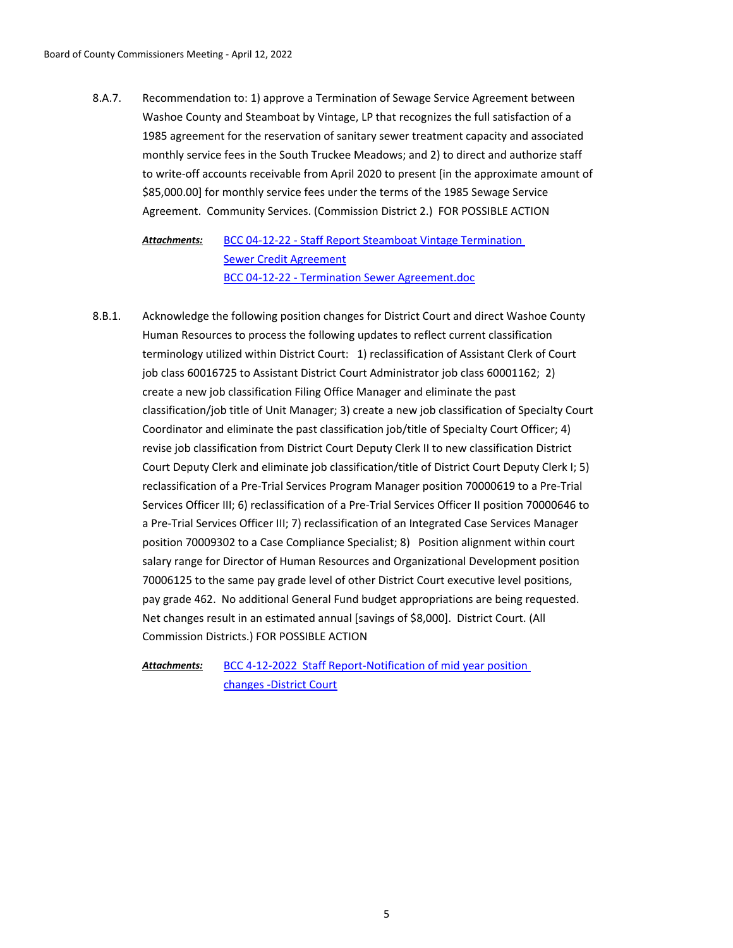Recommendation to: 1) approve a Termination of Sewage Service Agreement between Washoe County and Steamboat by Vintage, LP that recognizes the full satisfaction of a 1985 agreement for the reservation of sanitary sewer treatment capacity and associated monthly service fees in the South Truckee Meadows; and 2) to direct and authorize staff to write-off accounts receivable from April 2020 to present [in the approximate amount of \$85,000.00] for monthly service fees under the terms of the 1985 Sewage Service Agreement. Community Services. (Commission District 2.) FOR POSSIBLE ACTION 8.A.7.

[BCC 04-12-22 - Staff Report Steamboat Vintage Termination](http://washoe-nv.legistar.com/gateway.aspx?M=F&ID=e20f603e-426a-41a6-80a2-e076ae07d240.doc)  Sewer Credit Agreement [BCC 04-12-22 - Termination Sewer Agreement.doc](http://washoe-nv.legistar.com/gateway.aspx?M=F&ID=a33411dd-755d-4a61-946c-d5317a149c57.pdf) *Attachments:*

Acknowledge the following position changes for District Court and direct Washoe County Human Resources to process the following updates to reflect current classification terminology utilized within District Court: 1) reclassification of Assistant Clerk of Court job class 60016725 to Assistant District Court Administrator job class 60001162; 2) create a new job classification Filing Office Manager and eliminate the past classification/job title of Unit Manager; 3) create a new job classification of Specialty Court Coordinator and eliminate the past classification job/title of Specialty Court Officer; 4) revise job classification from District Court Deputy Clerk II to new classification District Court Deputy Clerk and eliminate job classification/title of District Court Deputy Clerk I; 5) reclassification of a Pre-Trial Services Program Manager position 70000619 to a Pre-Trial Services Officer III; 6) reclassification of a Pre-Trial Services Officer II position 70000646 to a Pre-Trial Services Officer III; 7) reclassification of an Integrated Case Services Manager position 70009302 to a Case Compliance Specialist; 8) Position alignment within court salary range for Director of Human Resources and Organizational Development position 70006125 to the same pay grade level of other District Court executive level positions, pay grade 462. No additional General Fund budget appropriations are being requested. Net changes result in an estimated annual [savings of \$8,000]. District Court. (All Commission Districts.) FOR POSSIBLE ACTION 8.B.1.

[BCC 4-12-2022 Staff Report-Notification of mid year position](http://washoe-nv.legistar.com/gateway.aspx?M=F&ID=09a86cbd-8248-4d37-8905-b6b2a1935e21.docx)  changes -District Court *Attachments:*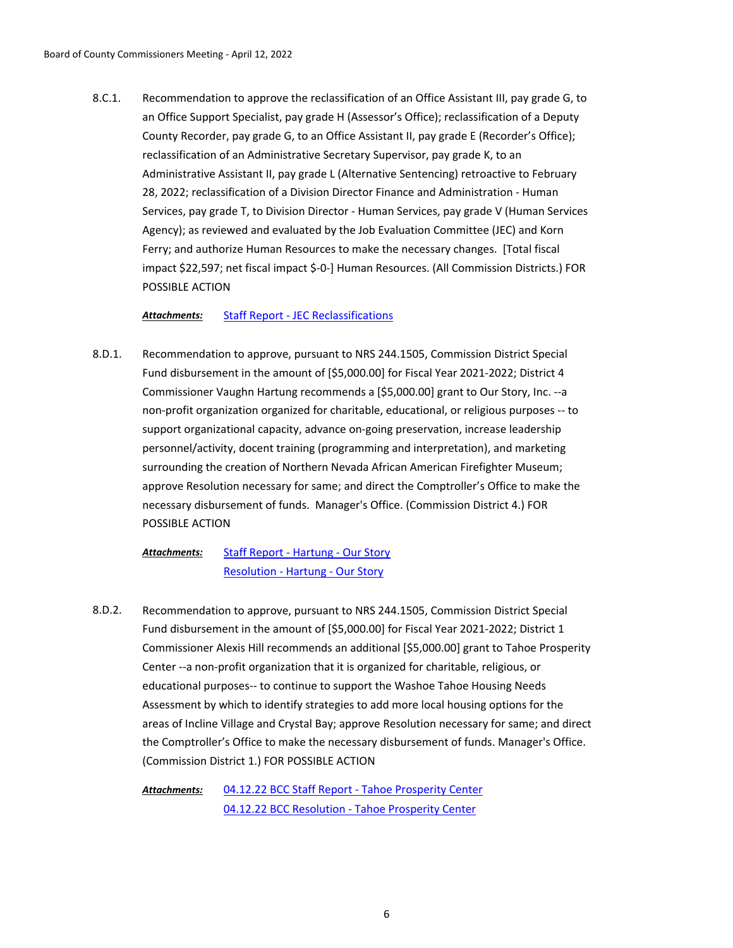Recommendation to approve the reclassification of an Office Assistant III, pay grade G, to an Office Support Specialist, pay grade H (Assessor's Office); reclassification of a Deputy County Recorder, pay grade G, to an Office Assistant II, pay grade E (Recorder's Office); reclassification of an Administrative Secretary Supervisor, pay grade K, to an Administrative Assistant II, pay grade L (Alternative Sentencing) retroactive to February 28, 2022; reclassification of a Division Director Finance and Administration - Human Services, pay grade T, to Division Director - Human Services, pay grade V (Human Services Agency); as reviewed and evaluated by the Job Evaluation Committee (JEC) and Korn Ferry; and authorize Human Resources to make the necessary changes. [Total fiscal impact \$22,597; net fiscal impact \$-0-] Human Resources. (All Commission Districts.) FOR POSSIBLE ACTION 8.C.1.

### *Attachments:* [Staff Report - JEC Reclassifications](http://washoe-nv.legistar.com/gateway.aspx?M=F&ID=c28b4074-cd87-4248-9615-707fe83680e4.docx)

Recommendation to approve, pursuant to NRS 244.1505, Commission District Special Fund disbursement in the amount of [\$5,000.00] for Fiscal Year 2021-2022; District 4 Commissioner Vaughn Hartung recommends a [\$5,000.00] grant to Our Story, Inc. --a non-profit organization organized for charitable, educational, or religious purposes -- to support organizational capacity, advance on-going preservation, increase leadership personnel/activity, docent training (programming and interpretation), and marketing surrounding the creation of Northern Nevada African American Firefighter Museum; approve Resolution necessary for same; and direct the Comptroller's Office to make the necessary disbursement of funds. Manager's Office. (Commission District 4.) FOR POSSIBLE ACTION 8.D.1.

[Staff Report - Hartung - Our Story](http://washoe-nv.legistar.com/gateway.aspx?M=F&ID=d220f9c1-a197-4af3-85df-84c88eae50ae.doc) [Resolution - Hartung - Our Story](http://washoe-nv.legistar.com/gateway.aspx?M=F&ID=4bcb422c-1bc5-40a8-b499-4afbd7de0451.docx) *Attachments:*

Recommendation to approve, pursuant to NRS 244.1505, Commission District Special Fund disbursement in the amount of [\$5,000.00] for Fiscal Year 2021-2022; District 1 Commissioner Alexis Hill recommends an additional [\$5,000.00] grant to Tahoe Prosperity Center --a non-profit organization that it is organized for charitable, religious, or educational purposes-- to continue to support the Washoe Tahoe Housing Needs Assessment by which to identify strategies to add more local housing options for the areas of Incline Village and Crystal Bay; approve Resolution necessary for same; and direct the Comptroller's Office to make the necessary disbursement of funds. Manager's Office. (Commission District 1.) FOR POSSIBLE ACTION 8.D.2.

[04.12.22 BCC Staff Report - Tahoe Prosperity Center](http://washoe-nv.legistar.com/gateway.aspx?M=F&ID=a46b058c-a14f-41d6-90a9-45c942d11e7c.pdf) [04.12.22 BCC Resolution - Tahoe Prosperity Center](http://washoe-nv.legistar.com/gateway.aspx?M=F&ID=2c8a5cc4-f1be-4b74-8598-77cf4934e1a6.pdf) *Attachments:*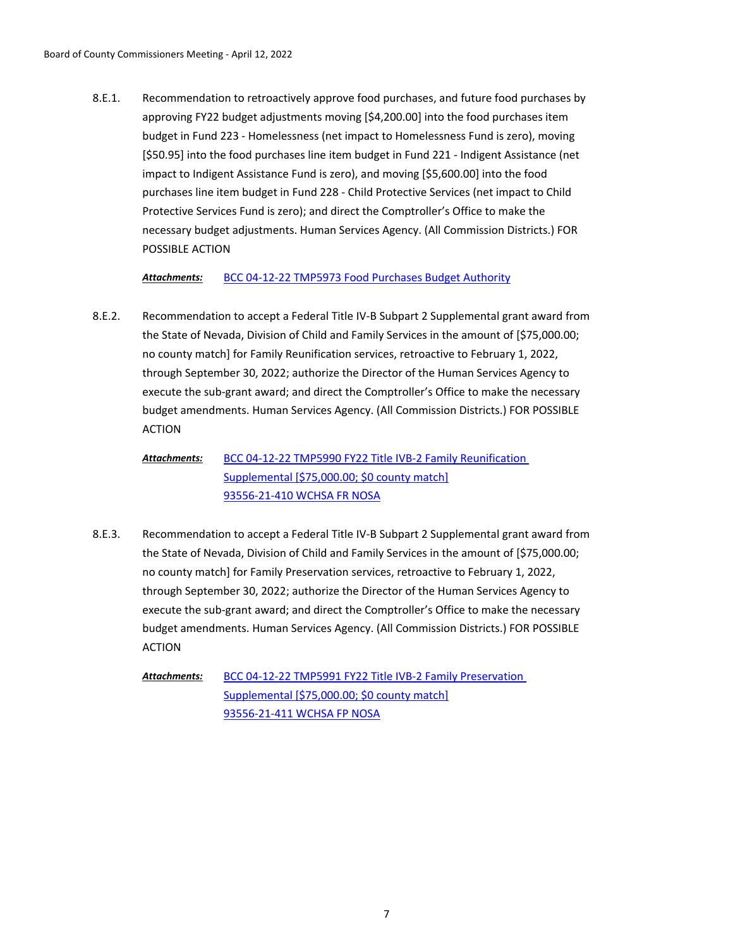Recommendation to retroactively approve food purchases, and future food purchases by approving FY22 budget adjustments moving [\$4,200.00] into the food purchases item budget in Fund 223 - Homelessness (net impact to Homelessness Fund is zero), moving [\$50.95] into the food purchases line item budget in Fund 221 - Indigent Assistance (net impact to Indigent Assistance Fund is zero), and moving [\$5,600.00] into the food purchases line item budget in Fund 228 - Child Protective Services (net impact to Child Protective Services Fund is zero); and direct the Comptroller's Office to make the necessary budget adjustments. Human Services Agency. (All Commission Districts.) FOR POSSIBLE ACTION 8.E.1.

*Attachments:* [BCC 04-12-22 TMP5973 Food Purchases Budget Authority](http://washoe-nv.legistar.com/gateway.aspx?M=F&ID=4e8e140e-2785-4a64-b5e5-5bd8971746e7.doc)

Recommendation to accept a Federal Title IV-B Subpart 2 Supplemental grant award from the State of Nevada, Division of Child and Family Services in the amount of [\$75,000.00; no county match] for Family Reunification services, retroactive to February 1, 2022, through September 30, 2022; authorize the Director of the Human Services Agency to execute the sub-grant award; and direct the Comptroller's Office to make the necessary budget amendments. Human Services Agency. (All Commission Districts.) FOR POSSIBLE ACTION 8.E.2.

[BCC 04-12-22 TMP5990 FY22 Title IVB-2 Family Reunification](http://washoe-nv.legistar.com/gateway.aspx?M=F&ID=1e7d5560-e7ab-4a26-85e6-ba93df08afa6.doc)  Supplemental [\$75,000.00; \$0 county match] [93556-21-410 WCHSA FR NOSA](http://washoe-nv.legistar.com/gateway.aspx?M=F&ID=212f0e45-55ae-4794-a32a-48792cafb806.pdf) *Attachments:*

Recommendation to accept a Federal Title IV-B Subpart 2 Supplemental grant award from the State of Nevada, Division of Child and Family Services in the amount of [\$75,000.00; no county match] for Family Preservation services, retroactive to February 1, 2022, through September 30, 2022; authorize the Director of the Human Services Agency to execute the sub-grant award; and direct the Comptroller's Office to make the necessary budget amendments. Human Services Agency. (All Commission Districts.) FOR POSSIBLE ACTION 8.E.3.

[BCC 04-12-22 TMP5991 FY22 Title IVB-2 Family Preservation](http://washoe-nv.legistar.com/gateway.aspx?M=F&ID=e8e405d4-4e77-4d47-b158-9c876c11a885.doc)  Supplemental [\$75,000.00; \$0 county match] [93556-21-411 WCHSA FP NOSA](http://washoe-nv.legistar.com/gateway.aspx?M=F&ID=835121b5-cb7e-4d58-b846-814e8a845542.pdf) *Attachments:*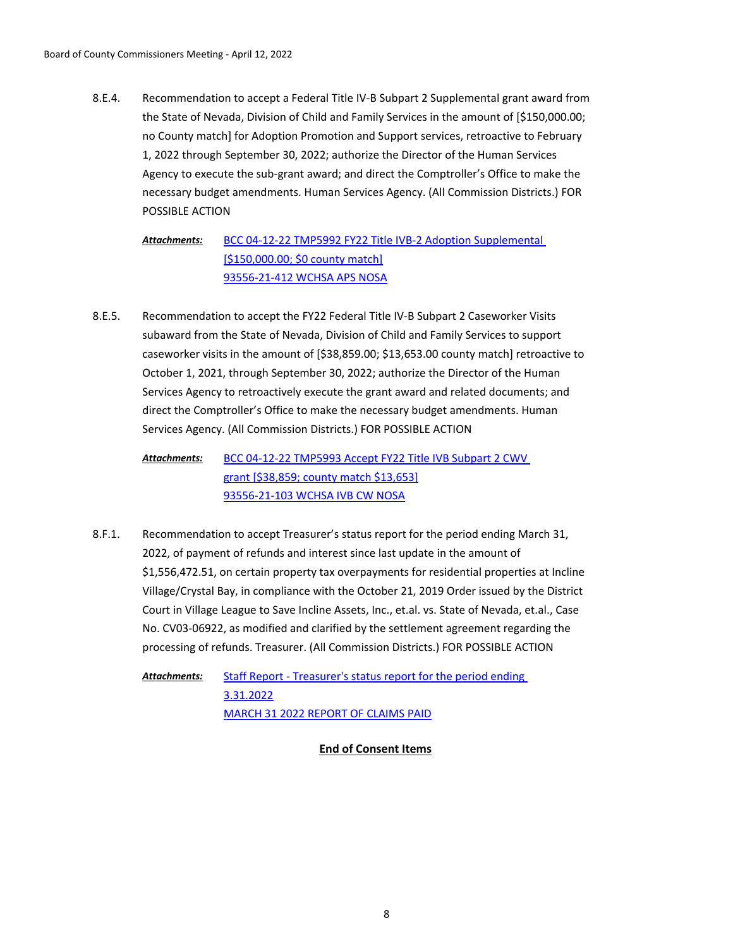Recommendation to accept a Federal Title IV-B Subpart 2 Supplemental grant award from the State of Nevada, Division of Child and Family Services in the amount of [\$150,000.00; no County match] for Adoption Promotion and Support services, retroactive to February 1, 2022 through September 30, 2022; authorize the Director of the Human Services Agency to execute the sub-grant award; and direct the Comptroller's Office to make the necessary budget amendments. Human Services Agency. (All Commission Districts.) FOR POSSIBLE ACTION 8.E.4.

[BCC 04-12-22 TMP5992 FY22 Title IVB-2 Adoption Supplemental](http://washoe-nv.legistar.com/gateway.aspx?M=F&ID=683c36e1-01f6-42b3-a4a4-87b4903f147a.doc)  [\$150,000.00; \$0 county match] [93556-21-412 WCHSA APS NOSA](http://washoe-nv.legistar.com/gateway.aspx?M=F&ID=be41ca19-37bb-4431-a2bf-696208144a15.pdf) *Attachments:*

Recommendation to accept the FY22 Federal Title IV-B Subpart 2 Caseworker Visits subaward from the State of Nevada, Division of Child and Family Services to support caseworker visits in the amount of [\$38,859.00; \$13,653.00 county match] retroactive to October 1, 2021, through September 30, 2022; authorize the Director of the Human Services Agency to retroactively execute the grant award and related documents; and direct the Comptroller's Office to make the necessary budget amendments. Human Services Agency. (All Commission Districts.) FOR POSSIBLE ACTION 8.E.5.

[BCC 04-12-22 TMP5993 Accept FY22 Title IVB Subpart 2 CWV](http://washoe-nv.legistar.com/gateway.aspx?M=F&ID=e9a8643d-1bbd-41c6-a4ef-abf7780b64b6.doc)  grant [\$38,859; county match \$13,653] [93556-21-103 WCHSA IVB CW NOSA](http://washoe-nv.legistar.com/gateway.aspx?M=F&ID=3692d0a1-3739-48e7-af66-c14392a667ec.pdf) *Attachments:*

Recommendation to accept Treasurer's status report for the period ending March 31, 2022, of payment of refunds and interest since last update in the amount of \$1,556,472.51, on certain property tax overpayments for residential properties at Incline Village/Crystal Bay, in compliance with the October 21, 2019 Order issued by the District Court in Village League to Save Incline Assets, Inc., et.al. vs. State of Nevada, et.al., Case No. CV03-06922, as modified and clarified by the settlement agreement regarding the processing of refunds. Treasurer. (All Commission Districts.) FOR POSSIBLE ACTION 8.F.1.

[Staff Report - Treasurer's status report for the period ending](http://washoe-nv.legistar.com/gateway.aspx?M=F&ID=8138494f-5e2b-4451-b551-8bf9c38faf66.doc)  3.31.2022 [MARCH 31 2022 REPORT OF CLAIMS PAID](http://washoe-nv.legistar.com/gateway.aspx?M=F&ID=702c1c80-0619-44ee-8b6a-70a088532f9a.pdf) *Attachments:*

**End of Consent Items**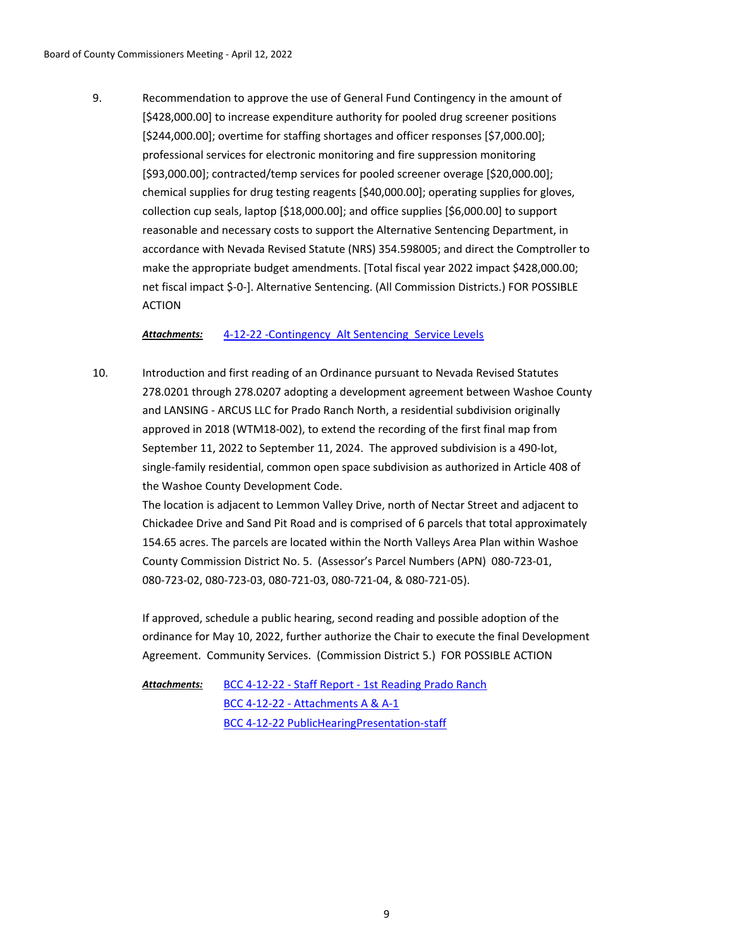Recommendation to approve the use of General Fund Contingency in the amount of [\$428,000.00] to increase expenditure authority for pooled drug screener positions [\$244,000.00]; overtime for staffing shortages and officer responses [\$7,000.00]; professional services for electronic monitoring and fire suppression monitoring [\$93,000.00]; contracted/temp services for pooled screener overage [\$20,000.00]; chemical supplies for drug testing reagents [\$40,000.00]; operating supplies for gloves, collection cup seals, laptop [\$18,000.00]; and office supplies [\$6,000.00] to support reasonable and necessary costs to support the Alternative Sentencing Department, in accordance with Nevada Revised Statute (NRS) 354.598005; and direct the Comptroller to make the appropriate budget amendments. [Total fiscal year 2022 impact \$428,000.00; net fiscal impact \$-0-]. Alternative Sentencing. (All Commission Districts.) FOR POSSIBLE ACTION 9.

*Attachments:* [4-12-22 -Contingency\\_Alt Sentencing\\_Service Levels](http://washoe-nv.legistar.com/gateway.aspx?M=F&ID=28f109ec-e293-438e-b9bb-1dcc29f8826b.doc)

Introduction and first reading of an Ordinance pursuant to Nevada Revised Statutes 278.0201 through 278.0207 adopting a development agreement between Washoe County and LANSING - ARCUS LLC for Prado Ranch North, a residential subdivision originally approved in 2018 (WTM18-002), to extend the recording of the first final map from September 11, 2022 to September 11, 2024. The approved subdivision is a 490-lot, single-family residential, common open space subdivision as authorized in Article 408 of the Washoe County Development Code. 10.

The location is adjacent to Lemmon Valley Drive, north of Nectar Street and adjacent to Chickadee Drive and Sand Pit Road and is comprised of 6 parcels that total approximately 154.65 acres. The parcels are located within the North Valleys Area Plan within Washoe County Commission District No. 5. (Assessor's Parcel Numbers (APN) 080-723-01, 080-723-02, 080-723-03, 080-721-03, 080-721-04, & 080-721-05).

If approved, schedule a public hearing, second reading and possible adoption of the ordinance for May 10, 2022, further authorize the Chair to execute the final Development Agreement. Community Services. (Commission District 5.) FOR POSSIBLE ACTION

[BCC 4-12-22 - Staff Report - 1st Reading Prado Ranch](http://washoe-nv.legistar.com/gateway.aspx?M=F&ID=4ff17776-cd83-4802-aab4-e92d3f887787.docx) [BCC 4-12-22 - Attachments A & A-1](http://washoe-nv.legistar.com/gateway.aspx?M=F&ID=38159510-78ab-44ee-ad21-1d94f019aa38.pdf) [BCC 4-12-22 PublicHearingPresentation-staff](http://washoe-nv.legistar.com/gateway.aspx?M=F&ID=c3291e87-e89a-47f4-a1fe-722b3795e124.pdf) *Attachments:*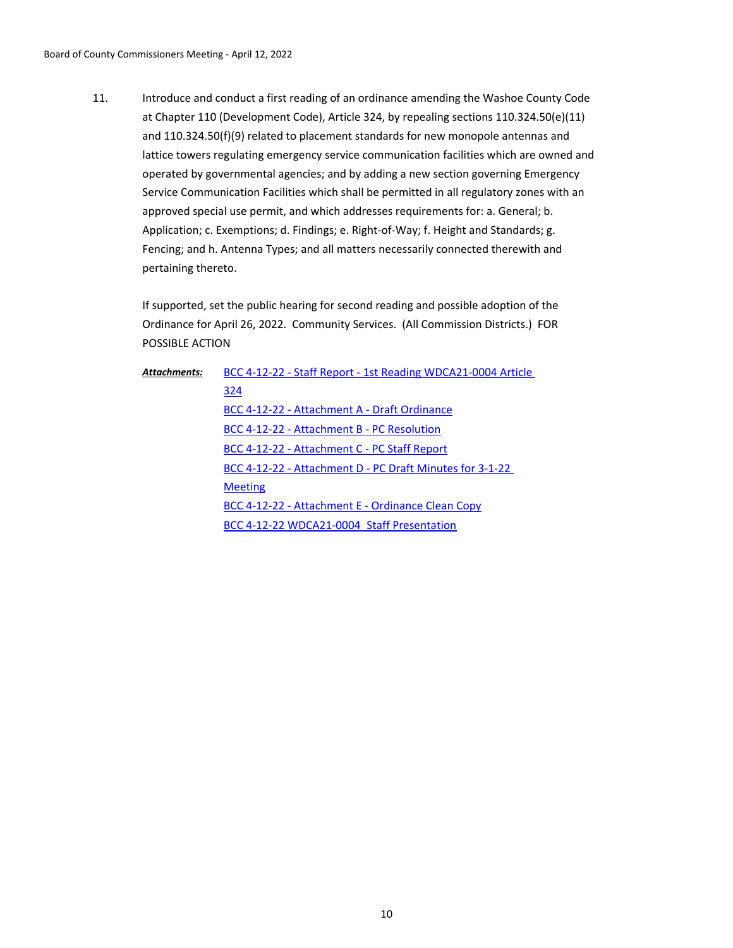Introduce and conduct a first reading of an ordinance amending the Washoe County Code at Chapter 110 (Development Code), Article 324, by repealing sections 110.324.50(e)(11) and 110.324.50(f)(9) related to placement standards for new monopole antennas and lattice towers regulating emergency service communication facilities which are owned and operated by governmental agencies; and by adding a new section governing Emergency Service Communication Facilities which shall be permitted in all regulatory zones with an approved special use permit, and which addresses requirements for: a. General; b. Application; c. Exemptions; d. Findings; e. Right-of-Way; f. Height and Standards; g. Fencing; and h. Antenna Types; and all matters necessarily connected therewith and pertaining thereto. 11.

If supported, set the public hearing for second reading and possible adoption of the Ordinance for April 26, 2022. Community Services. (All Commission Districts.) FOR POSSIBLE ACTION

| Attachments: | BCC 4-12-22 - Staff Report - 1st Reading WDCA21-0004 Article |
|--------------|--------------------------------------------------------------|
|              | 324                                                          |
|              | BCC 4-12-22 - Attachment A - Draft Ordinance                 |
|              | BCC 4-12-22 - Attachment B - PC Resolution                   |
|              | BCC 4-12-22 - Attachment C - PC Staff Report                 |
|              | BCC 4-12-22 - Attachment D - PC Draft Minutes for 3-1-22     |
|              | <b>Meeting</b>                                               |
|              | BCC 4-12-22 - Attachment E - Ordinance Clean Copy            |
|              | BCC 4-12-22 WDCA21-0004 Staff Presentation                   |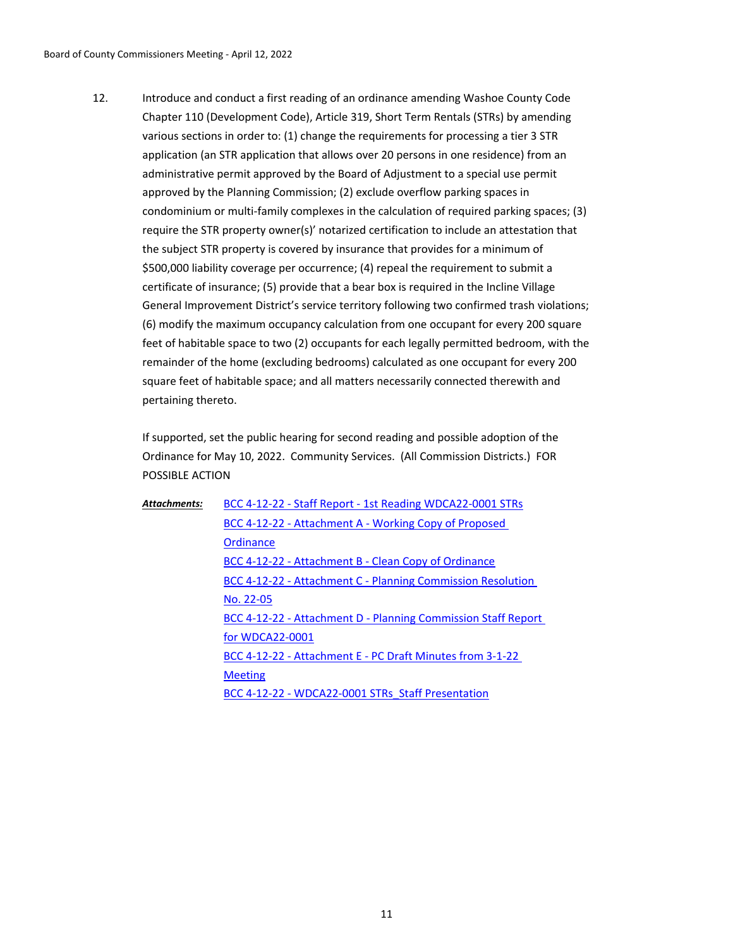Introduce and conduct a first reading of an ordinance amending Washoe County Code Chapter 110 (Development Code), Article 319, Short Term Rentals (STRs) by amending various sections in order to: (1) change the requirements for processing a tier 3 STR application (an STR application that allows over 20 persons in one residence) from an administrative permit approved by the Board of Adjustment to a special use permit approved by the Planning Commission; (2) exclude overflow parking spaces in condominium or multi-family complexes in the calculation of required parking spaces; (3) require the STR property owner(s)' notarized certification to include an attestation that the subject STR property is covered by insurance that provides for a minimum of \$500,000 liability coverage per occurrence; (4) repeal the requirement to submit a certificate of insurance; (5) provide that a bear box is required in the Incline Village General Improvement District's service territory following two confirmed trash violations; (6) modify the maximum occupancy calculation from one occupant for every 200 square feet of habitable space to two (2) occupants for each legally permitted bedroom, with the remainder of the home (excluding bedrooms) calculated as one occupant for every 200 square feet of habitable space; and all matters necessarily connected therewith and pertaining thereto. 12.

If supported, set the public hearing for second reading and possible adoption of the Ordinance for May 10, 2022. Community Services. (All Commission Districts.) FOR POSSIBLE ACTION

| Attachments: | BCC 4-12-22 - Staff Report - 1st Reading WDCA22-0001 STRs     |
|--------------|---------------------------------------------------------------|
|              | BCC 4-12-22 - Attachment A - Working Copy of Proposed         |
|              | Ordinance                                                     |
|              | BCC 4-12-22 - Attachment B - Clean Copy of Ordinance          |
|              | BCC 4-12-22 - Attachment C - Planning Commission Resolution   |
|              | No. 22-05                                                     |
|              | BCC 4-12-22 - Attachment D - Planning Commission Staff Report |
|              | for WDCA22-0001                                               |
|              | BCC 4-12-22 - Attachment E - PC Draft Minutes from 3-1-22     |
|              | <b>Meeting</b>                                                |
|              | BCC 4-12-22 - WDCA22-0001 STRs Staff Presentation             |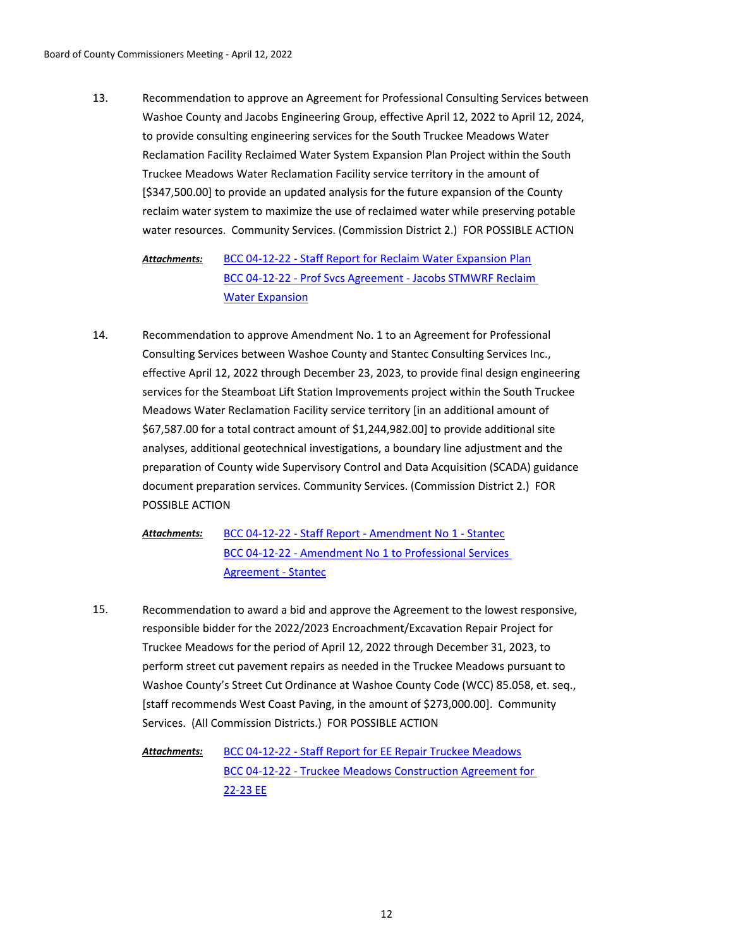Recommendation to approve an Agreement for Professional Consulting Services between Washoe County and Jacobs Engineering Group, effective April 12, 2022 to April 12, 2024, to provide consulting engineering services for the South Truckee Meadows Water Reclamation Facility Reclaimed Water System Expansion Plan Project within the South Truckee Meadows Water Reclamation Facility service territory in the amount of [\$347,500.00] to provide an updated analysis for the future expansion of the County reclaim water system to maximize the use of reclaimed water while preserving potable water resources. Community Services. (Commission District 2.) FOR POSSIBLE ACTION 13.

[BCC 04-12-22 - Staff Report for Reclaim Water Expansion Plan](http://washoe-nv.legistar.com/gateway.aspx?M=F&ID=188ca1e0-ca95-43f6-89c8-dc6b4627dc14.doc) [BCC 04-12-22 - Prof Svcs Agreement - Jacobs STMWRF Reclaim](http://washoe-nv.legistar.com/gateway.aspx?M=F&ID=d4ca50e4-46bd-4885-a25e-696fa9834b52.pdf)  Water Expansion *Attachments:*

Recommendation to approve Amendment No. 1 to an Agreement for Professional Consulting Services between Washoe County and Stantec Consulting Services Inc., effective April 12, 2022 through December 23, 2023, to provide final design engineering services for the Steamboat Lift Station Improvements project within the South Truckee Meadows Water Reclamation Facility service territory [in an additional amount of \$67,587.00 for a total contract amount of \$1,244,982.00] to provide additional site analyses, additional geotechnical investigations, a boundary line adjustment and the preparation of County wide Supervisory Control and Data Acquisition (SCADA) guidance document preparation services. Community Services. (Commission District 2.) FOR POSSIBLE ACTION 14.

> [BCC 04-12-22 - Staff Report - Amendment No 1 - Stantec](http://washoe-nv.legistar.com/gateway.aspx?M=F&ID=c6455dc1-3776-4b4e-ad7f-85a4a1beb0ab.doc) [BCC 04-12-22 - Amendment No 1 to Professional Services](http://washoe-nv.legistar.com/gateway.aspx?M=F&ID=652dfe04-c274-4f3e-b724-de5308ef79d9.pdf)  Agreement - Stantec *Attachments:*

Recommendation to award a bid and approve the Agreement to the lowest responsive, responsible bidder for the 2022/2023 Encroachment/Excavation Repair Project for Truckee Meadows for the period of April 12, 2022 through December 31, 2023, to perform street cut pavement repairs as needed in the Truckee Meadows pursuant to Washoe County's Street Cut Ordinance at Washoe County Code (WCC) 85.058, et. seq., [staff recommends West Coast Paving, in the amount of \$273,000.00]. Community Services. (All Commission Districts.) FOR POSSIBLE ACTION 15.

> [BCC 04-12-22 - Staff Report for EE Repair Truckee Meadows](http://washoe-nv.legistar.com/gateway.aspx?M=F&ID=c4957ba0-0bdb-4e3e-aee4-bc2e47ca6836.doc) [BCC 04-12-22 - Truckee Meadows Construction Agreement for](http://washoe-nv.legistar.com/gateway.aspx?M=F&ID=0139ac46-daa9-4f02-b0ed-261f840dfbaa.pdf)  22-23 EE *Attachments:*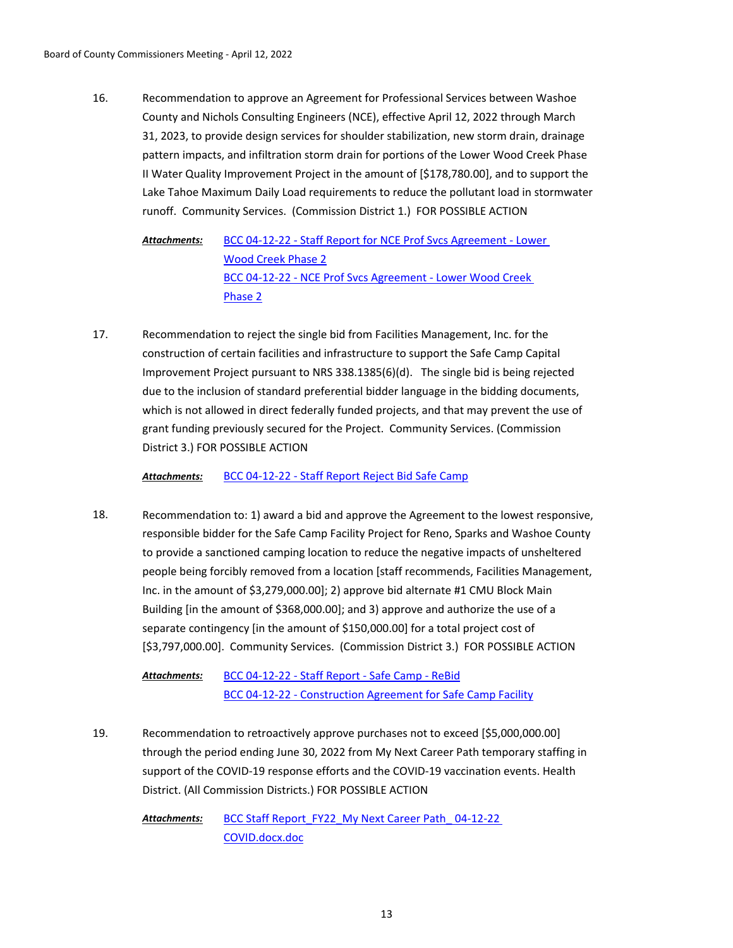Recommendation to approve an Agreement for Professional Services between Washoe County and Nichols Consulting Engineers (NCE), effective April 12, 2022 through March 31, 2023, to provide design services for shoulder stabilization, new storm drain, drainage pattern impacts, and infiltration storm drain for portions of the Lower Wood Creek Phase II Water Quality Improvement Project in the amount of [\$178,780.00], and to support the Lake Tahoe Maximum Daily Load requirements to reduce the pollutant load in stormwater runoff. Community Services. (Commission District 1.) FOR POSSIBLE ACTION 16.

[BCC 04-12-22 - Staff Report for NCE Prof Svcs Agreement - Lower](http://washoe-nv.legistar.com/gateway.aspx?M=F&ID=4d891af4-7b78-4f7a-9365-6b06b347e35f.docx)  Wood Creek Phase 2 [BCC 04-12-22 - NCE Prof Svcs Agreement - Lower Wood Creek](http://washoe-nv.legistar.com/gateway.aspx?M=F&ID=1adab428-afc4-4c98-b941-ddd5e5273d79.pdf)  Phase 2 *Attachments:*

Recommendation to reject the single bid from Facilities Management, Inc. for the construction of certain facilities and infrastructure to support the Safe Camp Capital Improvement Project pursuant to NRS 338.1385(6)(d). The single bid is being rejected due to the inclusion of standard preferential bidder language in the bidding documents, which is not allowed in direct federally funded projects, and that may prevent the use of grant funding previously secured for the Project. Community Services. (Commission District 3.) FOR POSSIBLE ACTION 17.

*Attachments:* [BCC 04-12-22 - Staff Report Reject Bid Safe Camp](http://washoe-nv.legistar.com/gateway.aspx?M=F&ID=c20794d4-ae0a-45a2-b875-90870c7e6515.docx)

Recommendation to: 1) award a bid and approve the Agreement to the lowest responsive, responsible bidder for the Safe Camp Facility Project for Reno, Sparks and Washoe County to provide a sanctioned camping location to reduce the negative impacts of unsheltered people being forcibly removed from a location [staff recommends, Facilities Management, Inc. in the amount of \$3,279,000.00]; 2) approve bid alternate #1 CMU Block Main Building [in the amount of \$368,000.00]; and 3) approve and authorize the use of a separate contingency [in the amount of \$150,000.00] for a total project cost of [\$3,797,000.00]. Community Services. (Commission District 3.) FOR POSSIBLE ACTION 18.

[BCC 04-12-22 - Staff Report - Safe Camp - ReBid](http://washoe-nv.legistar.com/gateway.aspx?M=F&ID=166ba081-da65-4e02-80e2-b295d003767e.doc) [BCC 04-12-22 - Construction Agreement for Safe Camp Facility](http://washoe-nv.legistar.com/gateway.aspx?M=F&ID=dc5d2fbd-1b9d-4949-bfd2-59a46ac47300.pdf) *Attachments:*

Recommendation to retroactively approve purchases not to exceed [\$5,000,000.00] through the period ending June 30, 2022 from My Next Career Path temporary staffing in support of the COVID-19 response efforts and the COVID-19 vaccination events. Health District. (All Commission Districts.) FOR POSSIBLE ACTION 19.

BCC Staff Report\_FY22\_My Next Career Path\_04-12-22 COVID.docx.doc *Attachments:*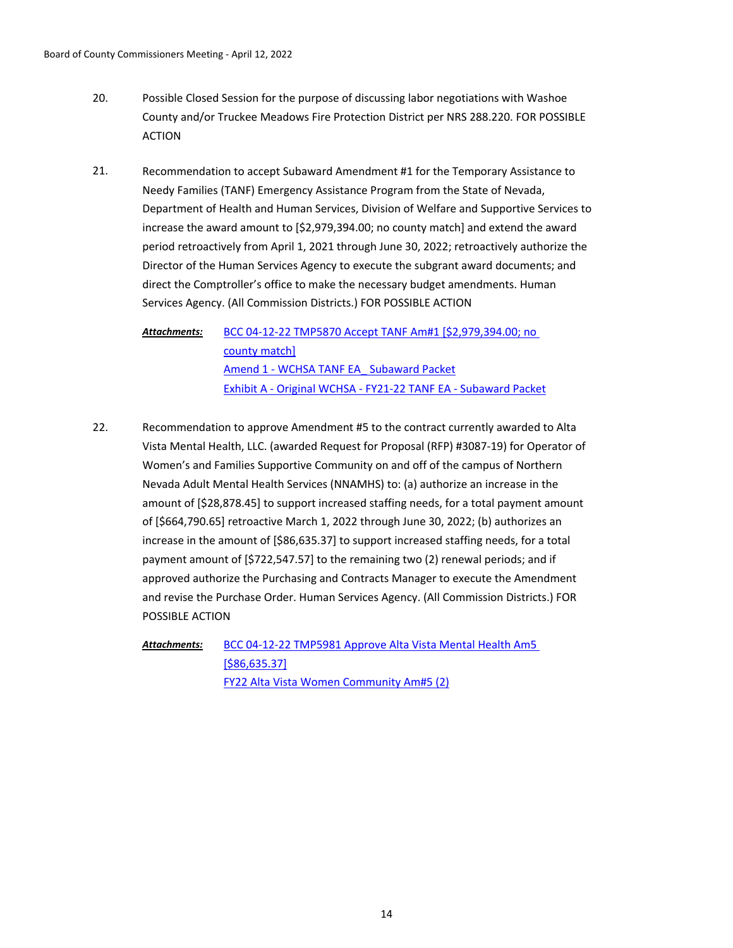- Possible Closed Session for the purpose of discussing labor negotiations with Washoe County and/or Truckee Meadows Fire Protection District per NRS 288.220. FOR POSSIBLE ACTION 20.
- Recommendation to accept Subaward Amendment #1 for the Temporary Assistance to Needy Families (TANF) Emergency Assistance Program from the State of Nevada, Department of Health and Human Services, Division of Welfare and Supportive Services to increase the award amount to [\$2,979,394.00; no county match] and extend the award period retroactively from April 1, 2021 through June 30, 2022; retroactively authorize the Director of the Human Services Agency to execute the subgrant award documents; and direct the Comptroller's office to make the necessary budget amendments. Human Services Agency. (All Commission Districts.) FOR POSSIBLE ACTION 21.

[BCC 04-12-22 TMP5870 Accept TANF Am#1 \[\\$2,979,394.00; no](http://washoe-nv.legistar.com/gateway.aspx?M=F&ID=04dd8e9a-aeb7-4aae-9a7a-747ded881279.doc)  county match] [Amend 1 - WCHSA TANF EA\\_ Subaward Packet](http://washoe-nv.legistar.com/gateway.aspx?M=F&ID=93e1d6f9-f1b2-40ed-923d-b90e6903a8a2.pdf) [Exhibit A - Original WCHSA - FY21-22 TANF EA - Subaward Packet](http://washoe-nv.legistar.com/gateway.aspx?M=F&ID=35a8328c-0333-49ae-a551-5e242f5d0dd6.pdf) *Attachments:*

Recommendation to approve Amendment #5 to the contract currently awarded to Alta Vista Mental Health, LLC. (awarded Request for Proposal (RFP) #3087-19) for Operator of Women's and Families Supportive Community on and off of the campus of Northern Nevada Adult Mental Health Services (NNAMHS) to: (a) authorize an increase in the amount of [\$28,878.45] to support increased staffing needs, for a total payment amount of [\$664,790.65] retroactive March 1, 2022 through June 30, 2022; (b) authorizes an increase in the amount of [\$86,635.37] to support increased staffing needs, for a total payment amount of [\$722,547.57] to the remaining two (2) renewal periods; and if approved authorize the Purchasing and Contracts Manager to execute the Amendment and revise the Purchase Order. Human Services Agency. (All Commission Districts.) FOR POSSIBLE ACTION 22.

[BCC 04-12-22 TMP5981 Approve Alta Vista Mental Health Am5](http://washoe-nv.legistar.com/gateway.aspx?M=F&ID=4a2a2c82-5bdb-47b1-9886-58f9fef9b092.doc)  [\$86,635.37] [FY22 Alta Vista Women Community Am#5 \(2\)](http://washoe-nv.legistar.com/gateway.aspx?M=F&ID=345ec8ac-b3ac-449a-a4c9-6a4f7d3cbbfc.docx) *Attachments:*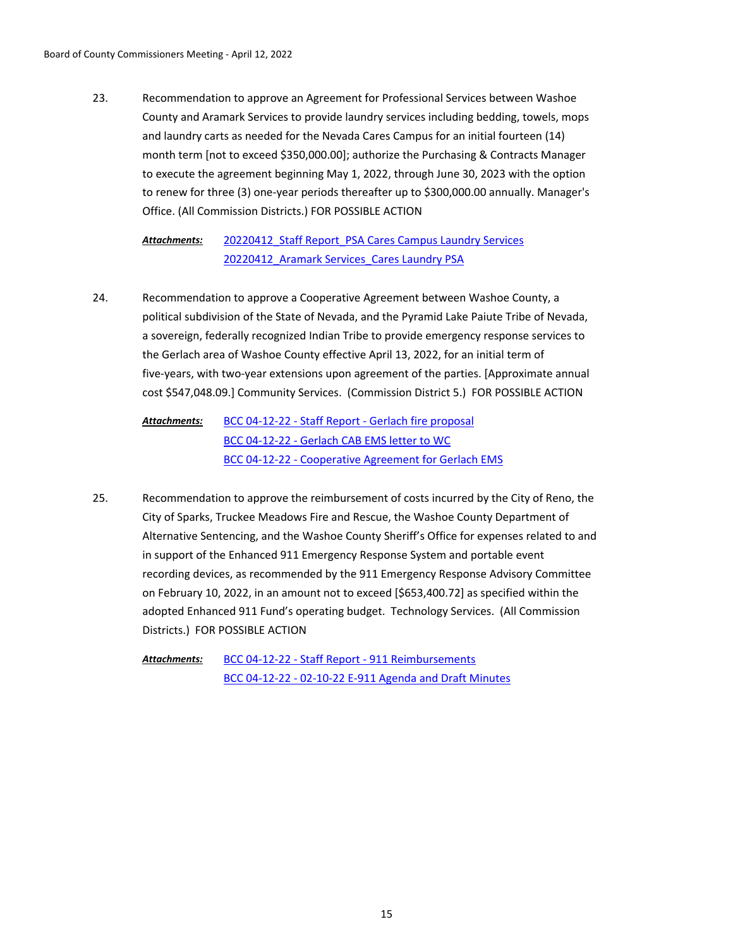Recommendation to approve an Agreement for Professional Services between Washoe County and Aramark Services to provide laundry services including bedding, towels, mops and laundry carts as needed for the Nevada Cares Campus for an initial fourteen (14) month term [not to exceed \$350,000.00]; authorize the Purchasing & Contracts Manager to execute the agreement beginning May 1, 2022, through June 30, 2023 with the option to renew for three (3) one-year periods thereafter up to \$300,000.00 annually. Manager's Office. (All Commission Districts.) FOR POSSIBLE ACTION 23.

20220412 Staff Report PSA Cares Campus Laundry Services 20220412 Aramark Services Cares Laundry PSA *Attachments:*

Recommendation to approve a Cooperative Agreement between Washoe County, a political subdivision of the State of Nevada, and the Pyramid Lake Paiute Tribe of Nevada, a sovereign, federally recognized Indian Tribe to provide emergency response services to the Gerlach area of Washoe County effective April 13, 2022, for an initial term of five-years, with two-year extensions upon agreement of the parties. [Approximate annual cost \$547,048.09.] Community Services. (Commission District 5.) FOR POSSIBLE ACTION 24.

[BCC 04-12-22 - Staff Report - Gerlach fire proposal](http://washoe-nv.legistar.com/gateway.aspx?M=F&ID=c0968f85-58d0-421d-8c6c-ceefafe77a90.doc) [BCC 04-12-22 - Gerlach CAB EMS letter to WC](http://washoe-nv.legistar.com/gateway.aspx?M=F&ID=13c58695-ea18-4cb0-a7d7-2659d7c3f1f7.docx) [BCC 04-12-22 - Cooperative Agreement for Gerlach EMS](http://washoe-nv.legistar.com/gateway.aspx?M=F&ID=6d313ace-2f90-4ab1-a94d-53ec03cf5685.pdf) *Attachments:*

Recommendation to approve the reimbursement of costs incurred by the City of Reno, the City of Sparks, Truckee Meadows Fire and Rescue, the Washoe County Department of Alternative Sentencing, and the Washoe County Sheriff's Office for expenses related to and in support of the Enhanced 911 Emergency Response System and portable event recording devices, as recommended by the 911 Emergency Response Advisory Committee on February 10, 2022, in an amount not to exceed [\$653,400.72] as specified within the adopted Enhanced 911 Fund's operating budget. Technology Services. (All Commission Districts.) FOR POSSIBLE ACTION 25.

[BCC 04-12-22 - Staff Report - 911 Reimbursements](http://washoe-nv.legistar.com/gateway.aspx?M=F&ID=58c2614e-ae68-4fd0-abdd-27300965e23a.docx) [BCC 04-12-22 - 02-10-22 E-911 Agenda and Draft Minutes](http://washoe-nv.legistar.com/gateway.aspx?M=F&ID=b23584bc-91b7-40a5-9446-0604e939de55.pdf) *Attachments:*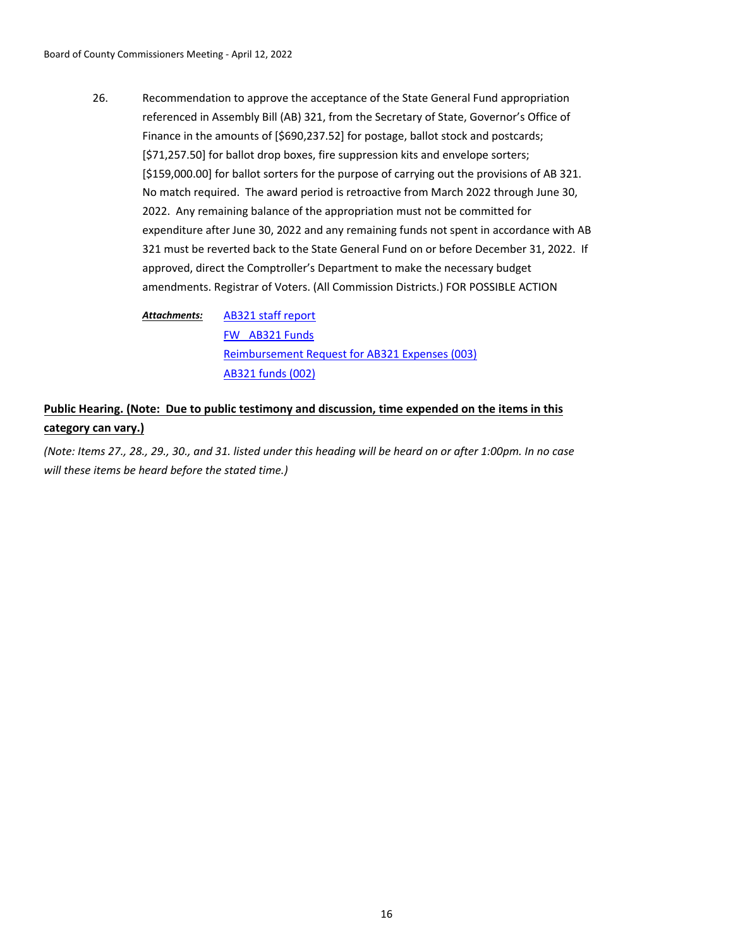Recommendation to approve the acceptance of the State General Fund appropriation referenced in Assembly Bill (AB) 321, from the Secretary of State, Governor's Office of Finance in the amounts of [\$690,237.52] for postage, ballot stock and postcards; [\$71,257.50] for ballot drop boxes, fire suppression kits and envelope sorters; [\$159,000.00] for ballot sorters for the purpose of carrying out the provisions of AB 321. No match required. The award period is retroactive from March 2022 through June 30, 2022. Any remaining balance of the appropriation must not be committed for expenditure after June 30, 2022 and any remaining funds not spent in accordance with AB 321 must be reverted back to the State General Fund on or before December 31, 2022. If approved, direct the Comptroller's Department to make the necessary budget amendments. Registrar of Voters. (All Commission Districts.) FOR POSSIBLE ACTION 26.

[AB321 staff report](http://washoe-nv.legistar.com/gateway.aspx?M=F&ID=58f15901-967b-45ee-96a4-a5d8336652b2.doc) [FW\\_ AB321 Funds](http://washoe-nv.legistar.com/gateway.aspx?M=F&ID=351eb922-7b5d-4a81-933f-e91d6b006455.pdf) [Reimbursement Request for AB321 Expenses \(003\)](http://washoe-nv.legistar.com/gateway.aspx?M=F&ID=efb01f09-2516-4254-af1f-f078846f3b6a.docx) [AB321 funds \(002\)](http://washoe-nv.legistar.com/gateway.aspx?M=F&ID=6b00c2e3-45fb-400a-af44-fe009e518655.pdf) *Attachments:*

# **Public Hearing. (Note: Due to public testimony and discussion, time expended on the items in this category can vary.)**

*(Note: Items 27., 28., 29., 30., and 31. listed under this heading will be heard on or after 1:00pm. In no case will these items be heard before the stated time.)*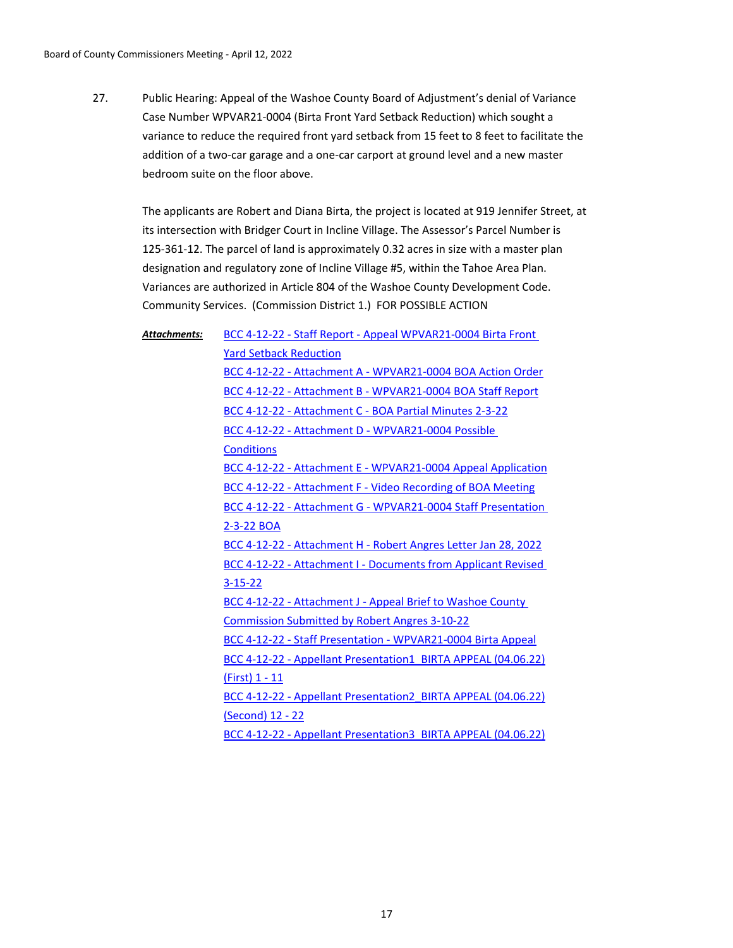Public Hearing: Appeal of the Washoe County Board of Adjustment's denial of Variance Case Number WPVAR21-0004 (Birta Front Yard Setback Reduction) which sought a variance to reduce the required front yard setback from 15 feet to 8 feet to facilitate the addition of a two-car garage and a one-car carport at ground level and a new master bedroom suite on the floor above. 27.

The applicants are Robert and Diana Birta, the project is located at 919 Jennifer Street, at its intersection with Bridger Court in Incline Village. The Assessor's Parcel Number is 125-361-12. The parcel of land is approximately 0.32 acres in size with a master plan designation and regulatory zone of Incline Village #5, within the Tahoe Area Plan. Variances are authorized in Article 804 of the Washoe County Development Code. Community Services. (Commission District 1.) FOR POSSIBLE ACTION

*Attachments:*

[BCC 4-12-22 - Staff Report - Appeal WPVAR21-0004 Birta Front](http://washoe-nv.legistar.com/gateway.aspx?M=F&ID=668e5c93-eae6-4588-97a8-fc9e946ed1de.doc)  Yard Setback Reduction [BCC 4-12-22 - Attachment A - WPVAR21-0004 BOA Action Order](http://washoe-nv.legistar.com/gateway.aspx?M=F&ID=dcf4e466-da6d-480f-888c-c9f2c3c3fd02.pdf) [BCC 4-12-22 - Attachment B - WPVAR21-0004 BOA Staff Report](http://washoe-nv.legistar.com/gateway.aspx?M=F&ID=05a5460a-f0bf-44dc-93da-13db6eba7264.pdf) [BCC 4-12-22 - Attachment C - BOA Partial Minutes 2-3-22](http://washoe-nv.legistar.com/gateway.aspx?M=F&ID=bed28496-0404-4965-b9ec-99116a9e1c30.pdf) [BCC 4-12-22 - Attachment D - WPVAR21-0004 Possible](http://washoe-nv.legistar.com/gateway.aspx?M=F&ID=28e0dc26-15f1-44c7-b83a-c76e73f72eb3.pdf)  **Conditions** [BCC 4-12-22 - Attachment E - WPVAR21-0004 Appeal Application](http://washoe-nv.legistar.com/gateway.aspx?M=F&ID=bf114560-27d1-4c6d-abfb-c1742cd774ca.pdf) [BCC 4-12-22 - Attachment F - Video Recording of BOA Meeting](http://washoe-nv.legistar.com/gateway.aspx?M=F&ID=9ab601ba-c80b-43be-952e-d78494603577.pdf) [BCC 4-12-22 - Attachment G - WPVAR21-0004 Staff Presentation](http://washoe-nv.legistar.com/gateway.aspx?M=F&ID=1ff95407-6902-4246-a335-2caa7835bfbd.pdf)  2-3-22 BOA [BCC 4-12-22 - Attachment H - Robert Angres Letter Jan 28, 2022](http://washoe-nv.legistar.com/gateway.aspx?M=F&ID=ecded4fc-4be9-426b-ad37-27086858343b.pdf) [BCC 4-12-22 - Attachment I - Documents from Applicant Revised](http://washoe-nv.legistar.com/gateway.aspx?M=F&ID=a4a59f96-2938-4159-9f6b-15cb7b6f5e67.pdf)  3-15-22 [BCC 4-12-22 - Attachment J - Appeal Brief to Washoe County](http://washoe-nv.legistar.com/gateway.aspx?M=F&ID=53c31bbb-0d49-4c7b-9e58-ca6cb7114fd2.pdf)  Commission Submitted by Robert Angres 3-10-22 [BCC 4-12-22 - Staff Presentation - WPVAR21-0004 Birta Appeal](http://washoe-nv.legistar.com/gateway.aspx?M=F&ID=f17deca6-0491-44c9-b87f-c4eb6283144c.pdf) [BCC 4-12-22 - Appellant Presentation1\\_BIRTA APPEAL \(04.06.22\)](http://washoe-nv.legistar.com/gateway.aspx?M=F&ID=72b1b8a7-b104-4cdf-a100-399003da68c2.pdf) (First) 1 - 11 [BCC 4-12-22 - Appellant Presentation2\\_BIRTA APPEAL \(04.06.22\)](http://washoe-nv.legistar.com/gateway.aspx?M=F&ID=74f301d3-b00f-4c9c-bb3d-211e77a23868.pdf) (Second) 12 - 22 [BCC 4-12-22 - Appellant Presentation3\\_BIRTA APPEAL \(04.06.22\)](http://washoe-nv.legistar.com/gateway.aspx?M=F&ID=f729dbc1-6eb9-4bab-8d3e-375a8567c66b.pdf)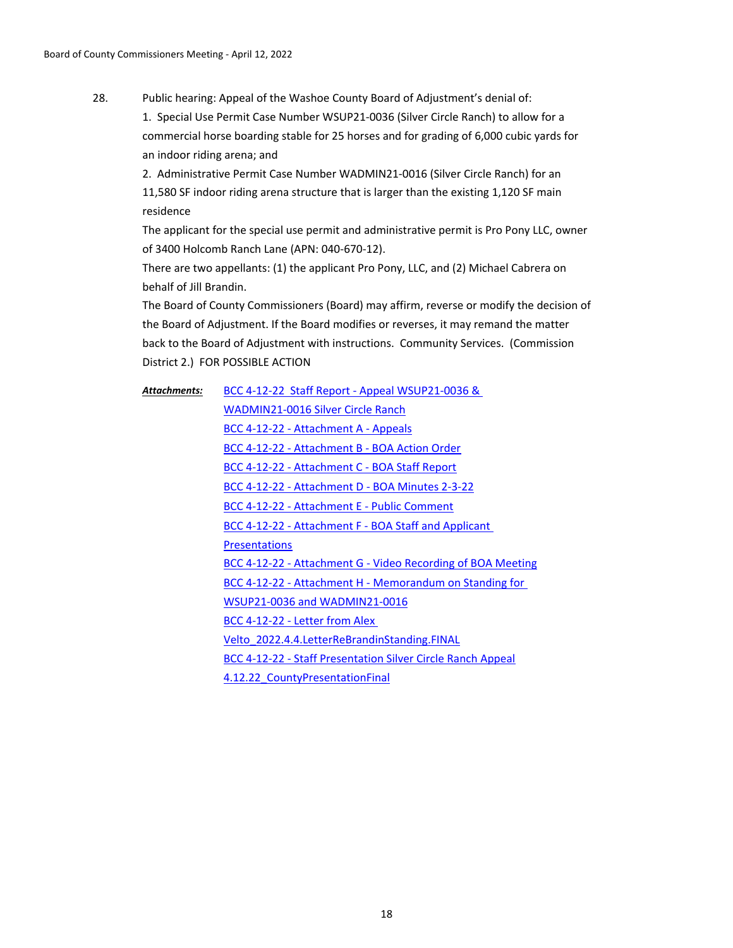Public hearing: Appeal of the Washoe County Board of Adjustment's denial of: 1. Special Use Permit Case Number WSUP21-0036 (Silver Circle Ranch) to allow for a commercial horse boarding stable for 25 horses and for grading of 6,000 cubic yards for an indoor riding arena; and 28.

> 2. Administrative Permit Case Number WADMIN21-0016 (Silver Circle Ranch) for an 11,580 SF indoor riding arena structure that is larger than the existing 1,120 SF main residence

The applicant for the special use permit and administrative permit is Pro Pony LLC, owner of 3400 Holcomb Ranch Lane (APN: 040-670-12).

There are two appellants: (1) the applicant Pro Pony, LLC, and (2) Michael Cabrera on behalf of Jill Brandin.

The Board of County Commissioners (Board) may affirm, reverse or modify the decision of the Board of Adjustment. If the Board modifies or reverses, it may remand the matter back to the Board of Adjustment with instructions. Community Services. (Commission District 2.) FOR POSSIBLE ACTION

[BCC 4-12-22 Staff Report - Appeal WSUP21-0036 &](http://washoe-nv.legistar.com/gateway.aspx?M=F&ID=6b5d9b1f-eb51-4f35-bd47-3fec4150a462.doc)  WADMIN21-0016 Silver Circle Ranch [BCC 4-12-22 - Attachment A - Appeals](http://washoe-nv.legistar.com/gateway.aspx?M=F&ID=65c7999a-20c5-490d-9d39-d36b3748f052.pdf) [BCC 4-12-22 - Attachment B - BOA Action Order](http://washoe-nv.legistar.com/gateway.aspx?M=F&ID=8d9ad4b0-bfee-4bc4-be74-711ea19e7ff1.pdf) [BCC 4-12-22 - Attachment C - BOA Staff Report](http://washoe-nv.legistar.com/gateway.aspx?M=F&ID=326f92fa-af57-4841-9b41-a9488ebce86c.pdf) [BCC 4-12-22 - Attachment D - BOA Minutes 2-3-22](http://washoe-nv.legistar.com/gateway.aspx?M=F&ID=ae9d8a67-c8a1-427c-8632-8410307336f2.pdf) [BCC 4-12-22 - Attachment E - Public Comment](http://washoe-nv.legistar.com/gateway.aspx?M=F&ID=aff38d73-6b1b-4c95-bd68-9466d95df85f.pdf) [BCC 4-12-22 - Attachment F - BOA Staff and Applicant](http://washoe-nv.legistar.com/gateway.aspx?M=F&ID=9292d78f-b0c6-4ff5-9682-bf747038693c.pdf)  **Presentations** [BCC 4-12-22 - Attachment G - Video Recording of BOA Meeting](http://washoe-nv.legistar.com/gateway.aspx?M=F&ID=cec8d6e7-07ca-4ce6-9121-fe1beff80e8c.pdf) [BCC 4-12-22 - Attachment H - Memorandum on Standing for](http://washoe-nv.legistar.com/gateway.aspx?M=F&ID=696e9349-6ca0-4218-b7a3-d38da5b57ad0.pdf)  WSUP21-0036 and WADMIN21-0016 BCC 4-12-22 - Letter from Alex [Velto\\_2022.4.4.LetterReBrandinStanding.FINAL](http://washoe-nv.legistar.com/gateway.aspx?M=F&ID=bc9c1c98-01c9-4cc0-b754-eacceb4b15c4.pdf) [BCC 4-12-22 - Staff Presentation Silver Circle Ranch Appeal](http://washoe-nv.legistar.com/gateway.aspx?M=F&ID=7c65cd02-11dc-4aa2-ac15-b5e03c20f9a1.pdf) [4.12.22\\_CountyPresentationFinal](http://washoe-nv.legistar.com/gateway.aspx?M=F&ID=ac9b7cdf-8666-453c-9c94-c45be5a8fe5f.pdf) *Attachments:*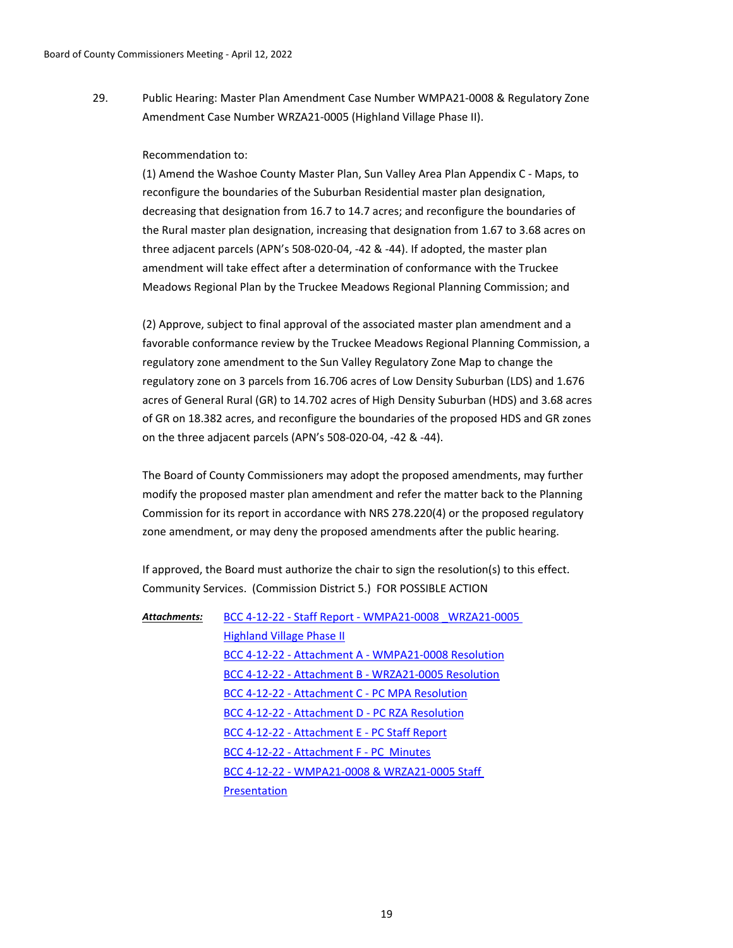Public Hearing: Master Plan Amendment Case Number WMPA21-0008 & Regulatory Zone Amendment Case Number WRZA21-0005 (Highland Village Phase II). 29.

### Recommendation to:

(1) Amend the Washoe County Master Plan, Sun Valley Area Plan Appendix C - Maps, to reconfigure the boundaries of the Suburban Residential master plan designation, decreasing that designation from 16.7 to 14.7 acres; and reconfigure the boundaries of the Rural master plan designation, increasing that designation from 1.67 to 3.68 acres on three adjacent parcels (APN's 508-020-04, -42 & -44). If adopted, the master plan amendment will take effect after a determination of conformance with the Truckee Meadows Regional Plan by the Truckee Meadows Regional Planning Commission; and

(2) Approve, subject to final approval of the associated master plan amendment and a favorable conformance review by the Truckee Meadows Regional Planning Commission, a regulatory zone amendment to the Sun Valley Regulatory Zone Map to change the regulatory zone on 3 parcels from 16.706 acres of Low Density Suburban (LDS) and 1.676 acres of General Rural (GR) to 14.702 acres of High Density Suburban (HDS) and 3.68 acres of GR on 18.382 acres, and reconfigure the boundaries of the proposed HDS and GR zones on the three adjacent parcels (APN's 508-020-04, -42 & -44).

The Board of County Commissioners may adopt the proposed amendments, may further modify the proposed master plan amendment and refer the matter back to the Planning Commission for its report in accordance with NRS 278.220(4) or the proposed regulatory zone amendment, or may deny the proposed amendments after the public hearing.

If approved, the Board must authorize the chair to sign the resolution(s) to this effect. Community Services. (Commission District 5.) FOR POSSIBLE ACTION

[BCC 4-12-22 - Staff Report - WMPA21-0008 \\_WRZA21-0005](http://washoe-nv.legistar.com/gateway.aspx?M=F&ID=a44ffb17-e2cf-4e9b-befd-617c9b74bc2c.doc)  Highland Village Phase II [BCC 4-12-22 - Attachment A - WMPA21-0008 Resolution](http://washoe-nv.legistar.com/gateway.aspx?M=F&ID=dcbe1a3f-5bc1-4e39-9372-dd75de148216.pdf) [BCC 4-12-22 - Attachment B - WRZA21-0005 Resolution](http://washoe-nv.legistar.com/gateway.aspx?M=F&ID=347127ad-2add-4cd9-9268-fbbab33cba56.pdf) [BCC 4-12-22 - Attachment C - PC MPA Resolution](http://washoe-nv.legistar.com/gateway.aspx?M=F&ID=820028ae-4e11-4020-9ff3-bb7731d12bde.pdf) [BCC 4-12-22 - Attachment D - PC RZA Resolution](http://washoe-nv.legistar.com/gateway.aspx?M=F&ID=8b9afa55-3761-4337-a070-394a2fa28bc6.pdf) [BCC 4-12-22 - Attachment E - PC Staff Report](http://washoe-nv.legistar.com/gateway.aspx?M=F&ID=058360d7-e2b9-417c-9e75-060465d9c563.pdf) [BCC 4-12-22 - Attachment F - PC Minutes](http://washoe-nv.legistar.com/gateway.aspx?M=F&ID=3ac8c29f-cd3b-4cbe-8a07-e8e937d9356a.pdf) [BCC 4-12-22 - WMPA21-0008 & WRZA21-0005 Staff](http://washoe-nv.legistar.com/gateway.aspx?M=F&ID=a2bcebec-d28d-40e6-a08f-de694447b656.pdf)  **Presentation** *Attachments:*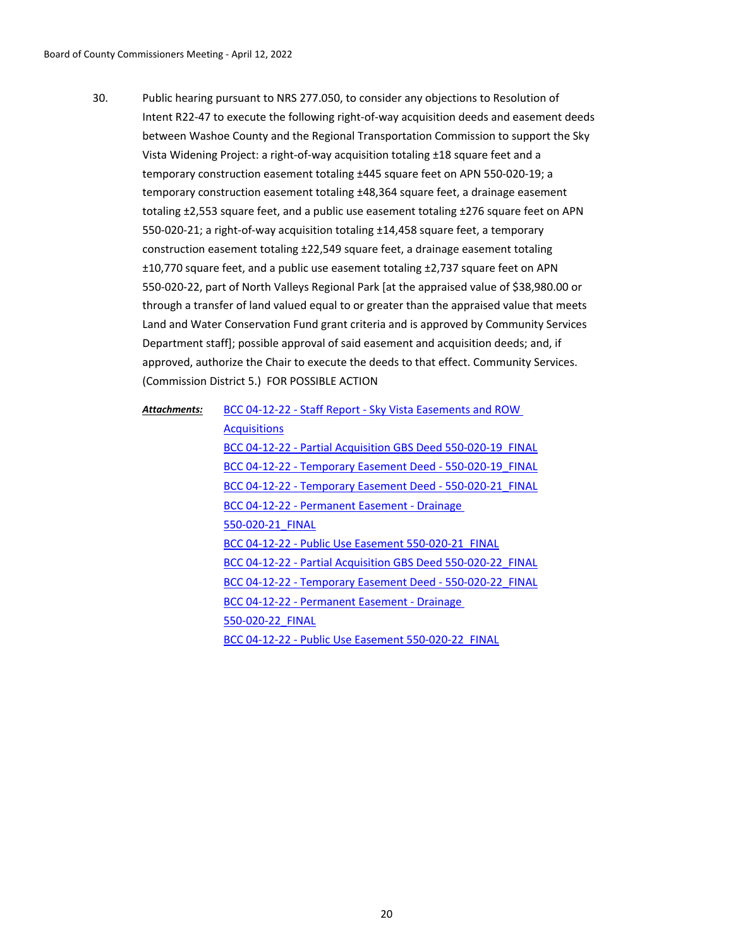Public hearing pursuant to NRS 277.050, to consider any objections to Resolution of Intent R22-47 to execute the following right-of-way acquisition deeds and easement deeds between Washoe County and the Regional Transportation Commission to support the Sky Vista Widening Project: a right-of-way acquisition totaling ±18 square feet and a temporary construction easement totaling ±445 square feet on APN 550-020-19; a temporary construction easement totaling ±48,364 square feet, a drainage easement totaling ±2,553 square feet, and a public use easement totaling ±276 square feet on APN 550-020-21; a right-of-way acquisition totaling ±14,458 square feet, a temporary construction easement totaling ±22,549 square feet, a drainage easement totaling ±10,770 square feet, and a public use easement totaling ±2,737 square feet on APN 550-020-22, part of North Valleys Regional Park [at the appraised value of \$38,980.00 or through a transfer of land valued equal to or greater than the appraised value that meets Land and Water Conservation Fund grant criteria and is approved by Community Services Department staff]; possible approval of said easement and acquisition deeds; and, if approved, authorize the Chair to execute the deeds to that effect. Community Services. (Commission District 5.) FOR POSSIBLE ACTION 30.

| Attachments: | BCC 04-12-22 - Staff Report - Sky Vista Easements and ROW    |
|--------------|--------------------------------------------------------------|
|              | <b>Acquisitions</b>                                          |
|              | BCC 04-12-22 - Partial Acquisition GBS Deed 550-020-19 FINAL |
|              | BCC 04-12-22 - Temporary Easement Deed - 550-020-19 FINAL    |
|              | BCC 04-12-22 - Temporary Easement Deed - 550-020-21 FINAL    |
|              | BCC 04-12-22 - Permanent Easement - Drainage                 |
|              | 550-020-21 FINAL                                             |
|              | BCC 04-12-22 - Public Use Easement 550-020-21 FINAL          |
|              | BCC 04-12-22 - Partial Acquisition GBS Deed 550-020-22 FINAL |
|              | BCC 04-12-22 - Temporary Easement Deed - 550-020-22 FINAL    |
|              | BCC 04-12-22 - Permanent Easement - Drainage                 |
|              | 550-020-22 FINAL                                             |
|              | BCC 04-12-22 - Public Use Easement 550-020-22 FINAL          |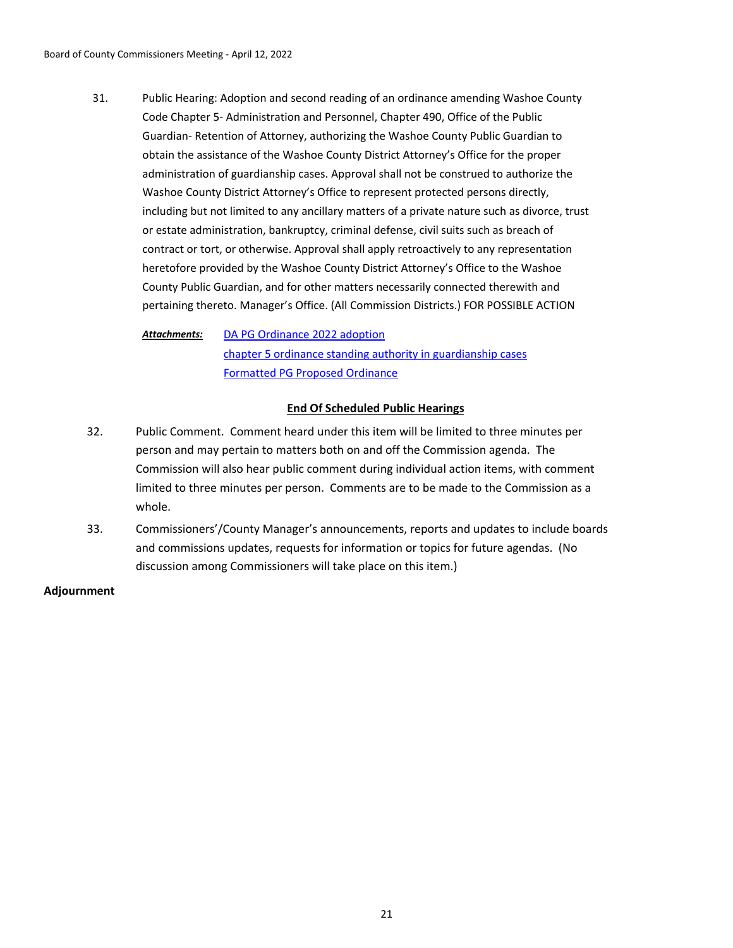Public Hearing: Adoption and second reading of an ordinance amending Washoe County Code Chapter 5- Administration and Personnel, Chapter 490, Office of the Public Guardian- Retention of Attorney, authorizing the Washoe County Public Guardian to obtain the assistance of the Washoe County District Attorney's Office for the proper administration of guardianship cases. Approval shall not be construed to authorize the Washoe County District Attorney's Office to represent protected persons directly, including but not limited to any ancillary matters of a private nature such as divorce, trust or estate administration, bankruptcy, criminal defense, civil suits such as breach of contract or tort, or otherwise. Approval shall apply retroactively to any representation heretofore provided by the Washoe County District Attorney's Office to the Washoe County Public Guardian, and for other matters necessarily connected therewith and pertaining thereto. Manager's Office. (All Commission Districts.) FOR POSSIBLE ACTION 31.

[DA PG Ordinance 2022 adoption](http://washoe-nv.legistar.com/gateway.aspx?M=F&ID=b0faf920-bbb4-442c-adce-269f13308bb6.doc) [chapter 5 ordinance standing authority in guardianship cases](http://washoe-nv.legistar.com/gateway.aspx?M=F&ID=f6939df2-1ffb-4e45-abaf-5b2b774082b6.docx) [Formatted PG Proposed Ordinance](http://washoe-nv.legistar.com/gateway.aspx?M=F&ID=a4fbf619-0aa0-4d1b-9326-5f9e6d25cb06.docx) *Attachments:*

## **End Of Scheduled Public Hearings**

- 32. Public Comment. Comment heard under this item will be limited to three minutes per person and may pertain to matters both on and off the Commission agenda. The Commission will also hear public comment during individual action items, with comment limited to three minutes per person. Comments are to be made to the Commission as a whole.
- 33. Commissioners'/County Manager's announcements, reports and updates to include boards and commissions updates, requests for information or topics for future agendas. (No discussion among Commissioners will take place on this item.)

### **Adjournment**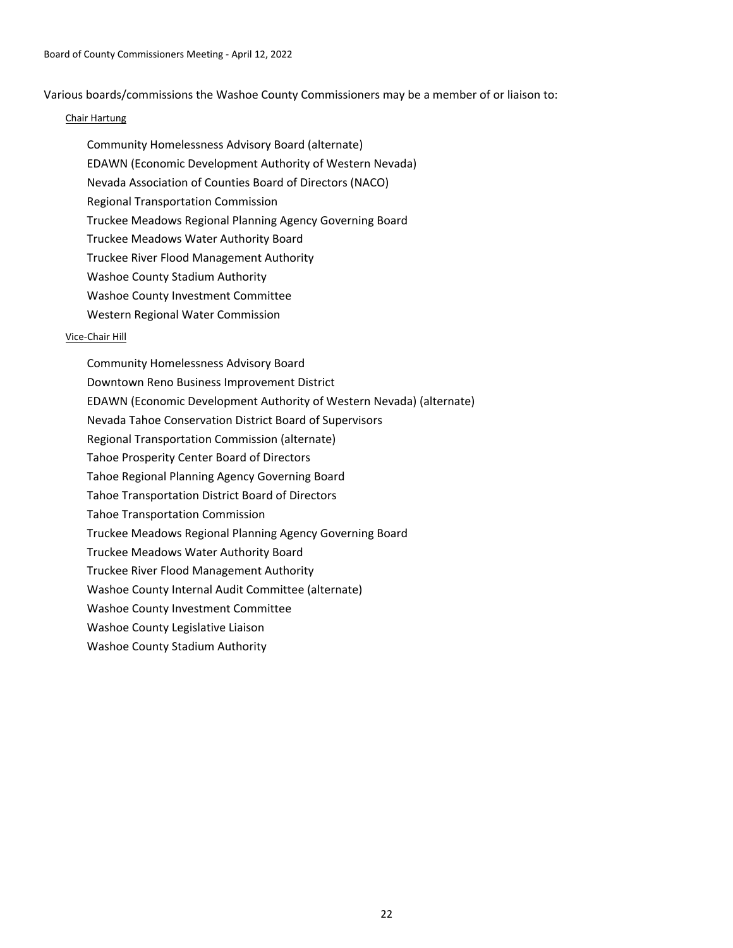Various boards/commissions the Washoe County Commissioners may be a member of or liaison to:

### Chair Hartung

- Community Homelessness Advisory Board (alternate)
- EDAWN (Economic Development Authority of Western Nevada)
- Nevada Association of Counties Board of Directors (NACO)
- Regional Transportation Commission
- Truckee Meadows Regional Planning Agency Governing Board
- Truckee Meadows Water Authority Board
- Truckee River Flood Management Authority
- Washoe County Stadium Authority
- Washoe County Investment Committee
- Western Regional Water Commission

### Vice-Chair Hill

Community Homelessness Advisory Board Downtown Reno Business Improvement District EDAWN (Economic Development Authority of Western Nevada) (alternate) Nevada Tahoe Conservation District Board of Supervisors Regional Transportation Commission (alternate) Tahoe Prosperity Center Board of Directors Tahoe Regional Planning Agency Governing Board Tahoe Transportation District Board of Directors Tahoe Transportation Commission Truckee Meadows Regional Planning Agency Governing Board Truckee Meadows Water Authority Board Truckee River Flood Management Authority Washoe County Internal Audit Committee (alternate) Washoe County Investment Committee Washoe County Legislative Liaison Washoe County Stadium Authority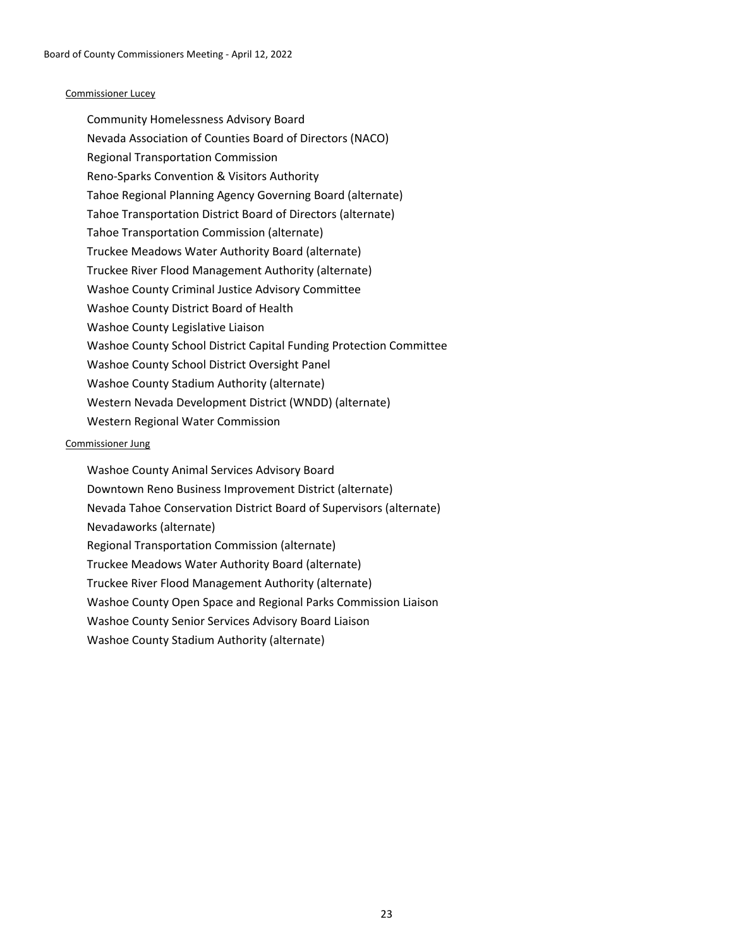### Commissioner Lucey

Community Homelessness Advisory Board Nevada Association of Counties Board of Directors (NACO) Regional Transportation Commission Reno-Sparks Convention & Visitors Authority Tahoe Regional Planning Agency Governing Board (alternate) Tahoe Transportation District Board of Directors (alternate) Tahoe Transportation Commission (alternate) Truckee Meadows Water Authority Board (alternate) Truckee River Flood Management Authority (alternate) Washoe County Criminal Justice Advisory Committee Washoe County District Board of Health Washoe County Legislative Liaison Washoe County School District Capital Funding Protection Committee Washoe County School District Oversight Panel Washoe County Stadium Authority (alternate) Western Nevada Development District (WNDD) (alternate) Western Regional Water Commission

### Commissioner Jung

Washoe County Animal Services Advisory Board Downtown Reno Business Improvement District (alternate) Nevada Tahoe Conservation District Board of Supervisors (alternate) Nevadaworks (alternate) Regional Transportation Commission (alternate) Truckee Meadows Water Authority Board (alternate) Truckee River Flood Management Authority (alternate) Washoe County Open Space and Regional Parks Commission Liaison Washoe County Senior Services Advisory Board Liaison Washoe County Stadium Authority (alternate)